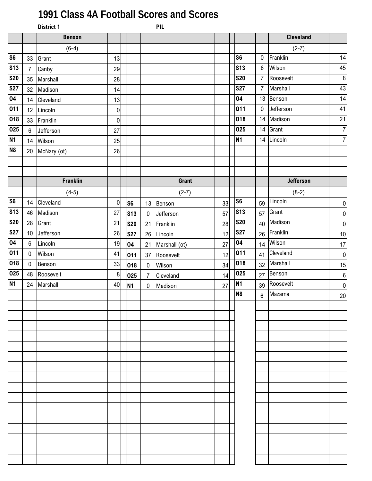## **1991 Class 4A Football Scores and Scores**

|                |                  | <b>District 1</b> |                  |                |                | <b>PIL</b>    |    |                 |                  |                  |                  |
|----------------|------------------|-------------------|------------------|----------------|----------------|---------------|----|-----------------|------------------|------------------|------------------|
|                |                  | <b>Benson</b>     |                  |                |                |               |    |                 |                  | <b>Cleveland</b> |                  |
|                |                  | $(6-4)$           |                  |                |                |               |    |                 |                  | $(2-7)$          |                  |
| S <sub>6</sub> | 33               | Grant             | 13               |                |                |               |    | S <sub>6</sub>  | $\mathbf 0$      | Franklin         | 14               |
| <b>S13</b>     | $\overline{7}$   | Canby             | 29               |                |                |               |    | S <sub>13</sub> | $\boldsymbol{6}$ | Wilson           | 45               |
| <b>S20</b>     | 35               | Marshall          | 28               |                |                |               |    | <b>S20</b>      | $\overline{7}$   | Roosevelt        | $\, 8$           |
| <b>S27</b>     | 32               | Madison           | 14               |                |                |               |    | <b>S27</b>      | $\overline{7}$   | Marshall         | 43               |
| 04             | 14               | Cleveland         | 13               |                |                |               |    | 04              | 13               | Benson           | 14               |
| 011            | 12 <sup>°</sup>  | Lincoln           | $\pmb{0}$        |                |                |               |    | 011             | $\mathbf 0$      | Jefferson        | 41               |
| 018            | 33               | Franklin          | $\boldsymbol{0}$ |                |                |               |    | 018             |                  | 14 Madison       | 21               |
| 025            | $6\phantom{.}$   | Jefferson         | 27               |                |                |               |    | 025             | 14               | Grant            | $\overline{7}$   |
| N <sub>1</sub> | 14               | Wilson            | 25               |                |                |               |    | <b>N1</b>       | 14               | Lincoln          | $\overline{7}$   |
| N <sub>8</sub> | 20               | McNary (ot)       | 26               |                |                |               |    |                 |                  |                  |                  |
|                |                  |                   |                  |                |                |               |    |                 |                  |                  |                  |
|                |                  |                   |                  |                |                |               |    |                 |                  |                  |                  |
|                |                  | <b>Franklin</b>   |                  |                |                | <b>Grant</b>  |    |                 |                  | <b>Jefferson</b> |                  |
|                |                  | $(4-5)$           |                  |                |                | $(2-7)$       |    |                 |                  | $(8-2)$          |                  |
| S <sub>6</sub> | 14               | Cleveland         | $\boldsymbol{0}$ | S <sub>6</sub> | 13             | Benson        | 33 | S <sub>6</sub>  | 59               | Lincoln          | $\pmb{0}$        |
| <b>S13</b>     | 46               | Madison           | 27               | <b>S13</b>     | $\bf{0}$       | Jefferson     | 57 | <b>S13</b>      | 57               | Grant            | $\pmb{0}$        |
| <b>S20</b>     | 28               | Grant             | 21               | <b>S20</b>     | 21             | Franklin      | 28 | <b>S20</b>      | 40               | Madison          | $\pmb{0}$        |
| <b>S27</b>     | 10 <sup>1</sup>  | Jefferson         | 26               | <b>S27</b>     |                | 26 Lincoln    | 12 | <b>S27</b>      | 26               | Franklin         | $10$             |
| 04             | $\boldsymbol{6}$ | Lincoln           | 19               | 04             | 21             | Marshall (ot) | 27 | 04              | 14               | Wilson           | $17\,$           |
| 011            | $\mathbf 0$      | Wilson            | 41               | 011            | 37             | Roosevelt     | 12 | 011             | 41               | Cleveland        | $\pmb{0}$        |
| 018            | $\pmb{0}$        | Benson            | 33               | 018            | $\mathbf 0$    | Wilson        | 34 | 018             | 32               | Marshall         | 15               |
| 025            | 48               | Roosevelt         | $\, 8$           | 025            | $\overline{7}$ | Cleveland     | 14 | 025             | 27               | Benson           | $\boldsymbol{6}$ |
| N <sub>1</sub> | 24               | Marshall          | 40               | <b>N1</b>      | $\bf{0}$       | Madison       | 27 | <b>N1</b>       | 39               | Roosevelt        | $\pmb{0}$        |
|                |                  |                   |                  |                |                |               |    | N <sub>8</sub>  | $6 \overline{6}$ | Mazama           | 20               |
|                |                  |                   |                  |                |                |               |    |                 |                  |                  |                  |
|                |                  |                   |                  |                |                |               |    |                 |                  |                  |                  |
|                |                  |                   |                  |                |                |               |    |                 |                  |                  |                  |
|                |                  |                   |                  |                |                |               |    |                 |                  |                  |                  |
|                |                  |                   |                  |                |                |               |    |                 |                  |                  |                  |
|                |                  |                   |                  |                |                |               |    |                 |                  |                  |                  |
|                |                  |                   |                  |                |                |               |    |                 |                  |                  |                  |
|                |                  |                   |                  |                |                |               |    |                 |                  |                  |                  |
|                |                  |                   |                  |                |                |               |    |                 |                  |                  |                  |
|                |                  |                   |                  |                |                |               |    |                 |                  |                  |                  |
|                |                  |                   |                  |                |                |               |    |                 |                  |                  |                  |
|                |                  |                   |                  |                |                |               |    |                 |                  |                  |                  |
|                |                  |                   |                  |                |                |               |    |                 |                  |                  |                  |
|                |                  |                   |                  |                |                |               |    |                 |                  |                  |                  |
|                |                  |                   |                  |                |                |               |    |                 |                  |                  |                  |
|                |                  |                   |                  |                |                |               |    |                 |                  |                  |                  |
|                |                  |                   |                  |                |                |               |    |                 |                  |                  |                  |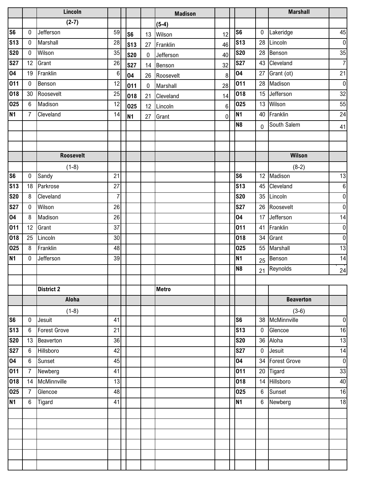|                |                  | Lincoln             |                 |                |             | <b>Madison</b> |                |                |                 | <b>Marshall</b>  |                  |
|----------------|------------------|---------------------|-----------------|----------------|-------------|----------------|----------------|----------------|-----------------|------------------|------------------|
|                |                  | $(2-7)$             |                 |                |             | $(5-4)$        |                |                |                 |                  |                  |
| S <sub>6</sub> | $\mathbf 0$      | Jefferson           | 59              | S <sub>6</sub> | 13          | Wilson         | 12             | S <sub>6</sub> | $\mathbf 0$     | Lakeridge        | 45               |
| <b>S13</b>     | $\bf{0}$         | Marshall            | 28              | <b>S13</b>     | 27          | Franklin       | 46             | <b>S13</b>     | 28              | Lincoln          | $\overline{0}$   |
| <b>S20</b>     | $\bf{0}$         | Wilson              | 35              | <b>S20</b>     | 0           | Jefferson      | 40             | <b>S20</b>     | 28              | Benson           | 35               |
| <b>S27</b>     | 12               | Grant               | 26              | <b>S27</b>     | 14          | Benson         | 32             | <b>S27</b>     |                 | 43 Cleveland     | $\overline{7}$   |
| 04             | 19               | Franklin            | $\,6$           | 04             | 26          | Roosevelt      | 8              | 04             | 27              | Grant (ot)       | 21               |
| 011            | $\mathbf 0$      | Benson              | 12              | 011            | $\mathbf 0$ | Marshall       | 28             | 011            | 28              | Madison          | $\overline{0}$   |
| 018            | 30               | Roosevelt           | 25              | 018            | 21          | Cleveland      | 14             | 018            | 15              | Jefferson        | 32               |
| 025            | $6\phantom{.}6$  | Madison             | 12              | 025            | 12          | Lincoln        | 6 <sup>1</sup> | 025            | 13              | Wilson           | 55               |
| N <sub>1</sub> | $\overline{7}$   | Cleveland           | 14              | <b>N1</b>      | 27          | Grant          | $\mathbf 0$    | <b>N1</b>      |                 | 40 Franklin      | 24               |
|                |                  |                     |                 |                |             |                |                | N <sub>8</sub> | $\overline{0}$  | South Salem      | 41               |
|                |                  |                     |                 |                |             |                |                |                |                 |                  |                  |
|                |                  |                     |                 |                |             |                |                |                |                 |                  |                  |
|                |                  | <b>Roosevelt</b>    |                 |                |             |                |                |                |                 | Wilson           |                  |
|                |                  | $(1-8)$             |                 |                |             |                |                |                |                 | $(8-2)$          |                  |
| S <sub>6</sub> | $\mathbf 0$      | Sandy               | 21              |                |             |                |                | S <sub>6</sub> |                 | 12 Madison       | 13               |
| <b>S13</b>     | 18               | Parkrose            | 27              |                |             |                |                | <b>S13</b>     |                 | 45 Cleveland     | $\boldsymbol{6}$ |
| <b>S20</b>     | 8                | Cleveland           | $\overline{7}$  |                |             |                |                | <b>S20</b>     |                 | 35 Lincoln       | $\overline{0}$   |
| <b>S27</b>     | $\mathbf 0$      | Wilson              | 26              |                |             |                |                | <b>S27</b>     |                 | 26 Roosevelt     | $\overline{0}$   |
| 04             | 8                | Madison             | 26              |                |             |                |                | 04             | 17 <sup>1</sup> | Jefferson        | 14               |
| 011            | 12               | Grant               | 37              |                |             |                |                | 011            |                 | 41 Franklin      | $\overline{0}$   |
| 018            | 25               | Lincoln             | 30              |                |             |                |                | 018            | 34              | Grant            | $\overline{0}$   |
| 025            | 8                | Franklin            | 48              |                |             |                |                | 025            | 55              | Marshall         | 13               |
| <b>N1</b>      | $\mathbf 0$      | Jefferson           | 39              |                |             |                |                | <b>N1</b>      | 25              | Benson           | 14               |
|                |                  |                     |                 |                |             |                |                | N <sub>8</sub> | 21              | Reynolds         | 24               |
|                |                  |                     |                 |                |             |                |                |                |                 |                  |                  |
|                |                  | <b>District 2</b>   |                 |                |             | <b>Metro</b>   |                |                |                 |                  |                  |
|                |                  | Aloha               |                 |                |             |                |                |                |                 | <b>Beaverton</b> |                  |
|                |                  | $(1-8)$             |                 |                |             |                |                |                |                 | $(3-6)$          |                  |
| S6             | $\bf{0}$         | Jesuit              | 41              |                |             |                |                | S <sub>6</sub> | 38              | McMinnville      | $\overline{0}$   |
| <b>S13</b>     | $\boldsymbol{6}$ | <b>Forest Grove</b> | 21              |                |             |                |                | <b>S13</b>     | $\mathbf 0$     | Glencoe          | 16               |
| <b>S20</b>     | 13               | Beaverton           | 36              |                |             |                |                | <b>S20</b>     |                 | 36 Aloha         | 13               |
| <b>S27</b>     | $6\,$            | Hillsboro           | 42              |                |             |                |                | <b>S27</b>     | $\overline{0}$  | Jesuit           | 14               |
| 04             | $\boldsymbol{6}$ | Sunset              | $\overline{45}$ |                |             |                |                | 04             |                 | 34 Forest Grove  | $\overline{0}$   |
| 011            | $\overline{7}$   | Newberg             | 41              |                |             |                |                | 011            |                 | 20 Tigard        | 33               |
| 018            | 14               | McMinnville         | 13              |                |             |                |                | 018            |                 | 14 Hillsboro     | 40               |
| 025            | $\overline{7}$   | Glencoe             | 48              |                |             |                |                | 025            | 6 <sup>1</sup>  | Sunset           | 16               |
| N <sub>1</sub> | $6\phantom{1}$   | Tigard              | 41              |                |             |                |                | <b>N1</b>      |                 | 6 Newberg        | 18               |
|                |                  |                     |                 |                |             |                |                |                |                 |                  |                  |
|                |                  |                     |                 |                |             |                |                |                |                 |                  |                  |
|                |                  |                     |                 |                |             |                |                |                |                 |                  |                  |
|                |                  |                     |                 |                |             |                |                |                |                 |                  |                  |
|                |                  |                     |                 |                |             |                |                |                |                 |                  |                  |
|                |                  |                     |                 |                |             |                |                |                |                 |                  |                  |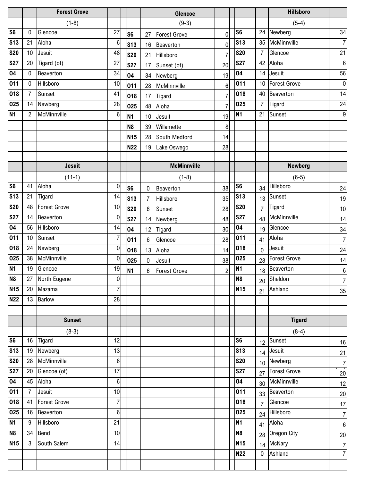|                          |                | <b>Forest Grove</b> |                |                |                  | Glencoe             |                |                 |                | <b>Hillsboro</b>    |                  |
|--------------------------|----------------|---------------------|----------------|----------------|------------------|---------------------|----------------|-----------------|----------------|---------------------|------------------|
|                          |                | $(1-8)$             |                |                |                  | $(9-3)$             |                |                 |                | $(5-4)$             |                  |
| S <sub>6</sub>           | $\mathbf{0}$   | Glencoe             | 27             | S <sub>6</sub> | 27               | <b>Forest Grove</b> | $\pmb{0}$      | S <sub>6</sub>  |                | 24 Newberg          | 34               |
| <b>S13</b>               | 21             | Aloha               | $\,6$          | <b>S13</b>     | 16               | Beaverton           | $\mathbf 0$    | <b>S13</b>      | 35             | McMinnville         | 7                |
| <b>S20</b>               | 10             | Jesuit              | 48             | <b>S20</b>     | 21               | Hillsboro           | $\overline{7}$ | <b>S20</b>      | 7              | Glencoe             | 21               |
| <b>S27</b>               | 20             | Tigard (ot)         | 27             | <b>S27</b>     | 17               | Sunset (ot)         | 20             | <b>S27</b>      | 42             | Aloha               | $\boldsymbol{6}$ |
| 04                       | $\mathbf 0$    | Beaverton           | 34             | 04             | 34               | Newberg             | 19             | 04              | 14             | Jesuit              | 56               |
| 011                      | $\pmb{0}$      | Hillsboro           | 10             | 011            | 28               | McMinnville         | $\,6\,$        | 011             | 10             | <b>Forest Grove</b> | $\overline{0}$   |
| 018                      | $\overline{7}$ | Sunset              | 41             | 018            | 17               | Tigard              | $\overline{7}$ | 018             | 40             | Beaverton           | 14               |
| 025                      | 14             | Newberg             | 28             | 025            | 48               | Aloha               | $\overline{7}$ | 025             | $\overline{7}$ | Tigard              | 24               |
| <b>N1</b>                | $\overline{2}$ | McMinnville         | 6              | N1             | 10               | Jesuit              | 19             | <b>N1</b>       | 21             | <b>T</b> Sunset     | 9                |
|                          |                |                     |                | N <sub>8</sub> | 39               | Willamette          | 8              |                 |                |                     |                  |
|                          |                |                     |                | <b>N15</b>     | 28               | South Medford       | 14             |                 |                |                     |                  |
|                          |                |                     |                | <b>N22</b>     | 19               | Lake Oswego         | 28             |                 |                |                     |                  |
|                          |                |                     |                |                |                  |                     |                |                 |                |                     |                  |
|                          |                | <b>Jesuit</b>       |                |                |                  | <b>McMinnville</b>  |                |                 |                | <b>Newberg</b>      |                  |
|                          |                | $(11-1)$            |                |                |                  | $(1-8)$             |                |                 |                | $(6-5)$             |                  |
| S <sub>6</sub>           | 41             | Aloha               | $\mathbf 0$    | S <sub>6</sub> | 0                | Beaverton           | 38             | S <sub>6</sub>  | 34             | Hillsboro           | 24               |
| <b>S13</b>               | 21             | Tigard              | 14             | <b>S13</b>     | 7                | Hillsboro           | 35             | <b>S13</b>      | 13             | Sunset              | 19               |
| $\overline{\text{S}}$ 20 | 48             | <b>Forest Grove</b> | 10             | <b>S20</b>     | 6                | Sunset              | 28             | <b>S20</b>      | $\overline{7}$ | Tigard              | 10               |
| <b>S27</b>               | 14             | Beaverton           | $\pmb{0}$      | <b>S27</b>     | 14               | Newberg             | 48             | <b>S27</b>      | 48             | McMinnville         | 14               |
| 04                       | 56             | Hillsboro           | 14             | 04             | 12               | Tigard              | 30             | 04              | 19             | Glencoe             | 34               |
| 011                      | 10             | Sunset              | $\overline{7}$ | 011            | $\boldsymbol{6}$ | Glencoe             | 28             | 011             | 41             | Aloha               | $\overline{7}$   |
| 018                      | 24             | Newberg             | $\bf{0}$       | 018            | 13               | Aloha               | 14             | 018             | $\overline{0}$ | Jesuit              | 24               |
| 025                      | 38             | McMinnville         | $\bf{0}$       | 025            | 0                | Jesuit              | 38             | 025             | 28             | <b>Forest Grove</b> | 14               |
| N <sub>1</sub>           | 19             | Glencoe             | 19             | <b>N1</b>      | 6                | <b>Forest Grove</b> | $\overline{2}$ | <b>N1</b>       | 18             | Beaverton           | $\boldsymbol{6}$ |
| N <sub>8</sub>           | 27             | North Eugene        | $\overline{0}$ |                |                  |                     |                | N <sub>8</sub>  |                | $20$ Sheldon        | $\overline{7}$   |
| <b>N15</b>               | 20             | Mazama              | $\overline{7}$ |                |                  |                     |                | <b>N15</b>      |                | 21 Ashland          | 35               |
| <b>N22</b>               | 13             | <b>Barlow</b>       | 28             |                |                  |                     |                |                 |                |                     |                  |
|                          |                |                     |                |                |                  |                     |                |                 |                |                     |                  |
|                          |                | <b>Sunset</b>       |                |                |                  |                     |                |                 |                | <b>Tigard</b>       |                  |
|                          |                | $(8-3)$             |                |                |                  |                     |                |                 |                | $(8-4)$             |                  |
| S <sub>6</sub>           | 16             | Tigard              | 12             |                |                  |                     |                | S <sub>6</sub>  |                | 12 Sunset           | 16               |
| <b>S13</b>               | 19             | Newberg             | 13             |                |                  |                     |                | <b>S13</b>      |                | 14 Jesuit           | 21               |
| <b>S20</b>               | 28             | McMinnville         | 6 <sup>1</sup> |                |                  |                     |                | <b>S20</b>      |                | 10 Newberg          | $\frac{7}{ }$    |
| <b>S27</b>               | 20             | Glencoe (ot)        | 17             |                |                  |                     |                | <b>S27</b>      |                | 27 Forest Grove     | $20\,$           |
| 04                       | 45             | Aloha               | $6 \mid$       |                |                  |                     |                | 04              |                | 30 McMinnville      | 12               |
| 011                      | $\overline{7}$ | Jesuit              | 10             |                |                  |                     |                | 011             |                | 33 Beaverton        | $20\,$           |
| 018                      | 41             | Forest Grove        | $\overline{7}$ |                |                  |                     |                | 018             |                | 7 Glencoe           | 17               |
| 025                      | 16             | Beaverton           | 6 <sup>1</sup> |                |                  |                     |                | 025             |                | 24 Hillsboro        | $\overline{7}$   |
| N1                       | 9              | Hillsboro           | 21             |                |                  |                     |                | N <sub>1</sub>  |                | 41 Aloha            | $6 \mid$         |
| N <sub>8</sub>           | 34             | Bend                | 10             |                |                  |                     |                | N <sub>8</sub>  |                | 28 Oregon City      | 20               |
| <b>N15</b>               | 3              | South Salem         | 14             |                |                  |                     |                | N <sub>15</sub> |                | 14 McNary           | $\overline{7}$   |
|                          |                |                     |                |                |                  |                     |                | <b>N22</b>      |                | 0 Ashland           | $\overline{7}$   |
|                          |                |                     |                |                |                  |                     |                |                 |                |                     |                  |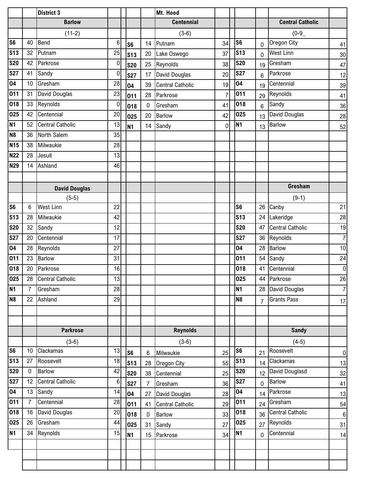|                 |                | <b>District 3</b>       |                  |                 |                | Mt. Hood                |                |                |                |                         |                  |
|-----------------|----------------|-------------------------|------------------|-----------------|----------------|-------------------------|----------------|----------------|----------------|-------------------------|------------------|
|                 |                | <b>Barlow</b>           |                  |                 |                | <b>Centennial</b>       |                |                |                | <b>Central Catholic</b> |                  |
|                 |                | $(11-2)$                |                  |                 |                | $(3-6)$                 |                |                |                | $(0-9)$                 |                  |
| S <sub>6</sub>  | 40             | <b>Bend</b>             | 6                | S <sub>6</sub>  | 14             | Putnam                  | 34             | S <sub>6</sub> | 0              | Oregon City             | 41               |
| S <sub>13</sub> | 32             | Putnam                  | 25               | S <sub>13</sub> | 20             | Lake Oswego             | 37             | <b>S13</b>     | 0              | West Linn               | 30               |
| <b>S20</b>      | 42             | Parkrose                | $\boldsymbol{0}$ | <b>S20</b>      | 25             | Reynolds                | 38             | <b>S20</b>     | 19             | Gresham                 | 47               |
| <b>S27</b>      | 41             | Sandy                   | $\mathbf 0$      | <b>S27</b>      | 17             | David Douglas           | 20             | <b>S27</b>     | 6              | Parkrose                | 12               |
| 04              | 10             | Gresham                 | 28               | 04              | 39             | <b>Central Catholic</b> | 19             | 04             | 19             | Centennial              | 39               |
| 011             | 31             | David Douglas           | 23               | 011             | 28             | Parkrose                | $\overline{7}$ | 011            | 29             | Reynolds                | 41               |
| 018             | 33             | Reynolds                | $\boldsymbol{0}$ | 018             | $\mathbf 0$    | Gresham                 | 41             | 018            | 6              | Sandy                   | 36               |
| 025             | 42             | Centennial              | 20               | 025             | 20             | <b>Barlow</b>           | 42             | 025            | 13             | David Douglas           | 28               |
| <b>N1</b>       | 52             | <b>Central Catholic</b> | 13               | <b>N1</b>       | 14             | Sandy                   | $\overline{0}$ | <b>N1</b>      | 13             | Barlow                  | 52               |
| N <sub>8</sub>  | 36             | North Salem             | 35               |                 |                |                         |                |                |                |                         |                  |
| <b>N15</b>      | 38             | Milwaukie               | 28               |                 |                |                         |                |                |                |                         |                  |
| <b>N22</b>      | 28             | Jesuit                  | 13               |                 |                |                         |                |                |                |                         |                  |
| <b>N29</b>      | 14             | Ashland                 | 46               |                 |                |                         |                |                |                |                         |                  |
|                 |                |                         |                  |                 |                |                         |                |                |                |                         |                  |
|                 |                | <b>David Douglas</b>    |                  |                 |                |                         |                |                |                | Gresham                 |                  |
|                 |                | $(5-5)$                 |                  |                 |                |                         |                |                |                | $(9-1)$                 |                  |
| S <sub>6</sub>  | 6              | <b>West Linn</b>        | 22               |                 |                |                         |                | S <sub>6</sub> | 26             | Canby                   | 21               |
| <b>S13</b>      | 28             | Milwaukie               | 42               |                 |                |                         |                | <b>S13</b>     | 24             | Lakeridge               | 28               |
| <b>S20</b>      | 32             | Sandy                   | 12               |                 |                |                         |                | <b>S20</b>     | 47             | <b>Central Catholic</b> | 19               |
| <b>S27</b>      | 20             | Centennial              | 17               |                 |                |                         |                | <b>S27</b>     |                | 36 Reynolds             | $\overline{7}$   |
| 04              | 28             | Reynolds                | 27               |                 |                |                         |                | 04             | 28             | <b>Barlow</b>           | 10               |
| 011             | 23             | <b>Barlow</b>           | 31               |                 |                |                         |                | 011            | 54             | Sandy                   | 24               |
| 018             | 20             | Parkrose                | 16               |                 |                |                         |                | 018            | 41             | Centennial              | $\overline{0}$   |
| 025             |                | 28 Central Catholic     | 13               |                 |                |                         |                | 025            |                | 44 Parkrose             | 26               |
| N1              | $\overline{7}$ | Gresham                 | 28               |                 |                |                         |                | <b>N1</b>      | 28             | David Douglas           | $\overline{7}$   |
| N <sub>8</sub>  | 22             | Ashland                 | 29               |                 |                |                         |                | N <sub>8</sub> | $\overline{7}$ | <b>Grants Pass</b>      | 17               |
|                 |                |                         |                  |                 |                |                         |                |                |                |                         |                  |
|                 |                |                         |                  |                 |                |                         |                |                |                |                         |                  |
|                 |                | <b>Parkrose</b>         |                  |                 |                | <b>Reynolds</b>         |                |                |                | <b>Sandy</b>            |                  |
|                 |                | $(3-6)$                 |                  |                 |                | $(3-6)$                 |                |                |                | $(4-5)$                 |                  |
| S <sub>6</sub>  | 10             | Clackamas               | 13               | S <sub>6</sub>  | 6              | Milwaukie               | 25             | S <sub>6</sub> | 21             | Roosevelt               | $\overline{0}$   |
| <b>S13</b>      | 27             | Roosevelt               | 18               | <b>S13</b>      | 28             | <b>Oregon City</b>      | 55             | <b>S13</b>     | 14             | Clackamas               | 13               |
| <b>S20</b>      | $\mathbf 0$    | <b>Barlow</b>           | 42               | <b>S20</b>      | 38             | Centennial              | 25             | <b>S20</b>     | 12             | David Douglasd          | 32               |
| <b>S27</b>      | 12             | <b>Central Catholic</b> | $\,6\,$          | <b>S27</b>      | $\overline{7}$ | Gresham                 | 36             | <b>S27</b>     | 0              | Barlow                  | 41               |
| 04              | 13             | Sandy                   | 14               | 04              | 27             | David Douglas           | 28             | 04             | 14             | Parkrose                | 13               |
| 011             | $\overline{7}$ | Centennial              | 28               | 011             | 41             | <b>Central Catholic</b> | 29             | 011            | 24             | Gresham                 | 54               |
| 018             | 16             | David Douglas           | 20               | 018             | $\mathbf 0$    | <b>Barlow</b>           | 33             | 018            | 36             | <b>Central Catholic</b> | $\boldsymbol{6}$ |
| 025             | 26             | Gresham                 | 44               | 025             | 31             | Sandy                   | 27             | 025            | 27             | Reynolds                | 31               |
| N <sub>1</sub>  | 34             | Reynolds                | 15               | <b>N1</b>       | 15             | Parkrose                | 34             | <b>N1</b>      | $\overline{0}$ | Centennial              | 14               |
|                 |                |                         |                  |                 |                |                         |                |                |                |                         |                  |
|                 |                |                         |                  |                 |                |                         |                |                |                |                         |                  |
|                 |                |                         |                  |                 |                |                         |                |                |                |                         |                  |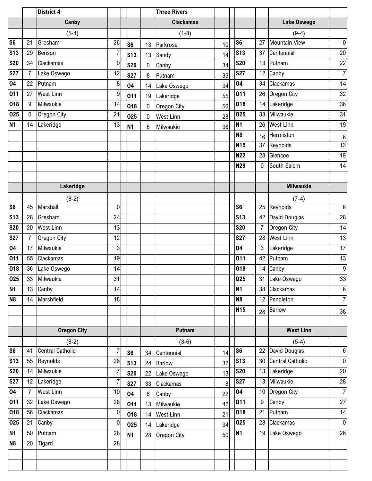|                        |                | District 4              |                  |                |                | <b>Three Rivers</b> |                 |                |                 |                         |                  |
|------------------------|----------------|-------------------------|------------------|----------------|----------------|---------------------|-----------------|----------------|-----------------|-------------------------|------------------|
|                        |                | Canby                   |                  |                |                | <b>Clackamas</b>    |                 |                |                 | Lake Oswego             |                  |
|                        |                | $(5-4)$                 |                  |                |                | $(1-8)$             |                 |                |                 | $(9-4)$                 |                  |
| $\overline{\text{S6}}$ | 21             | Gresham                 | 26               | S <sub>6</sub> | 13             | Parkrose            | 10              | S <sub>6</sub> | 27              | <b>Mountain View</b>    | $\overline{0}$   |
| <b>S13</b>             | 29             | Benson                  | $\overline{7}$   | <b>S13</b>     | 13             | Sandy               | 14              | <b>S13</b>     | 37              | Centennial              | 20               |
| <b>S20</b>             | 34             | Clackamas               | $\boldsymbol{0}$ | <b>S20</b>     | $\overline{0}$ | Canby               | 34              | <b>S20</b>     | 13              | Putnam                  | 22               |
| <b>S27</b>             | $\overline{7}$ | Lake Oswego             | 12               | <b>S27</b>     | 8              | Putnam              | 33              | <b>S27</b>     | 12              | Canby                   | $\overline{7}$   |
| 04                     | 22             | Putnam                  | 8                | 04             |                | 14 Lake Oswego      | 34              | 04             | 34              | Clackamas               | 14               |
| 011                    | 27             | <b>West Linn</b>        | 9                | 011            | 19             | Lakeridge           | 55              | 011            | 26              | Oregon City             | 32               |
| 018                    | 9              | Milwaukie               | 14               | 018            | $\mathbf 0$    | Oregon City         | 56              | 018            | 14              | Lakeridge               | 36               |
| 025                    | 0              | Oregon City             | 21               | 025            | $\mathbf 0$    | <b>West Linn</b>    | 28              | 025            | 33              | Milwaukie               | 31               |
| <b>N1</b>              | 14             | Lakeridge               | 13               | N1             | $6\phantom{.}$ | Milwaukie           | 38              | <b>N1</b>      | 26              | <b>West Linn</b>        | 19               |
|                        |                |                         |                  |                |                |                     |                 | <b>N8</b>      | 16              | Hermiston               | $\boldsymbol{6}$ |
|                        |                |                         |                  |                |                |                     |                 | <b>N15</b>     | 37              | Reynolds                | 13               |
|                        |                |                         |                  |                |                |                     |                 | <b>N22</b>     | 28              | Glencoe                 | 19               |
|                        |                |                         |                  |                |                |                     |                 | <b>N29</b>     | $\mathbf 0$     | South Salem             | 14               |
|                        |                |                         |                  |                |                |                     |                 |                |                 |                         |                  |
|                        |                | Lakeridge               |                  |                |                |                     |                 |                |                 | <b>Milwaukie</b>        |                  |
|                        |                | $(8-2)$                 |                  |                |                |                     |                 |                |                 | $(7-4)$                 |                  |
| S <sub>6</sub>         | 45             | Marshall                | $\mathbf 0$      |                |                |                     |                 | S <sub>6</sub> | 25              | Reynolds                | 6                |
| s <sub>13</sub>        | 28             | Gresham                 | 24               |                |                |                     |                 | <b>S13</b>     | 42              | David Douglas           | 28               |
| <b>S20</b>             | 20             | <b>West Linn</b>        | 13               |                |                |                     |                 | <b>S20</b>     | $\overline{7}$  | Oregon City             | 14               |
| <b>S27</b>             | $\overline{7}$ | Oregon City             | 12               |                |                |                     |                 | <b>S27</b>     | 28              | <b>West Linn</b>        | 13               |
| 04                     | 17             | Milwaukie               | 3                |                |                |                     |                 | 04             | 3               | Lakeridge               | 17               |
| 011                    | 55             | Clackamas               | 19               |                |                |                     |                 | 011            | 42              | Putnam                  | 13               |
| 018                    | 36             | Lake Oswego             | 14               |                |                |                     |                 | 018            | 14              | Canby                   | $\boldsymbol{9}$ |
| 025                    |                | 33 Milwaukie            | 31               |                |                |                     |                 | 025            |                 | 31 Lake Oswego          | $33\,$           |
| <b>N1</b>              | 13             | Canby                   | 14               |                |                |                     |                 | <b>N1</b>      |                 | 38 Clackamas            | $\bf 6$          |
| N <sub>8</sub>         | 14             | Marshfield              | 18               |                |                |                     |                 | N <sub>8</sub> | 12 <sup>1</sup> | Pendleton               | $\overline{7}$   |
|                        |                |                         |                  |                |                |                     |                 | <b>N15</b>     | 28              | <b>Barlow</b>           | 38               |
|                        |                |                         |                  |                |                |                     |                 |                |                 |                         |                  |
|                        |                | <b>Oregon City</b>      |                  |                |                | Putnam              |                 |                |                 | <b>West Linn</b>        |                  |
|                        |                | $(8-2)$                 |                  |                |                | $(3-6)$             |                 |                |                 | $(5-4)$                 |                  |
| S <sub>6</sub>         | 41             | <b>Central Catholic</b> | $\overline{7}$   | S <sub>6</sub> |                | 34 Centennial       | 14              | S <sub>6</sub> | 22              | David Douglas           | 6                |
| <b>S13</b>             | 55             | Reynolds                | 28               | <b>S13</b>     |                | 24 Barlow           | 32 <sup>°</sup> | <b>S13</b>     | 30              | <b>Central Catholic</b> | $\overline{0}$   |
| <b>S20</b>             | 14             | Milwaukie               | $\overline{7}$   | <b>S20</b>     |                | 22 Lake Oswego      | 13              | <b>S20</b>     | 13              | Lakeridge               | 20               |
| <b>S27</b>             |                | 12 Lakeridge            | $\overline{7}$   | <b>S27</b>     |                | 33 Clackamas        | $\bf 8$         | <b>S27</b>     | 13              | Milwaukie               | 28               |
| $\overline{04}$        | $\overline{7}$ | <b>West Linn</b>        | 10               | 04             | 8              | Canby               | 22              | 04             | 10              | Oregon City             | $\overline{7}$   |
| 011                    | 32             | Lake Oswego             | 26               | 011            | 13             | Milwaukie           | 42              | 011            | 9               | Canby                   | 27               |
| 018                    | 56             | Clackamas               | $\boldsymbol{0}$ | 018            |                | 14 West Linn        | 21              | 018            | 21              | Putnam                  | 14               |
| 025                    | 21             | Canby                   | $\pmb{0}$        | 025            |                | 14 Lakeridge        | 34              | 025            | 28              | Clackamas               | $\overline{0}$   |
| N <sub>1</sub>         | 50             | Putnam                  | 28               | <b>N1</b>      |                | 28 Oregon City      | 50              | <b>N1</b>      | 19              | Lake Oswego             | 26               |
| N <sub>8</sub>         | 20             | <b>Tigard</b>           | 28               |                |                |                     |                 |                |                 |                         |                  |
|                        |                |                         |                  |                |                |                     |                 |                |                 |                         |                  |
|                        |                |                         |                  |                |                |                     |                 |                |                 |                         |                  |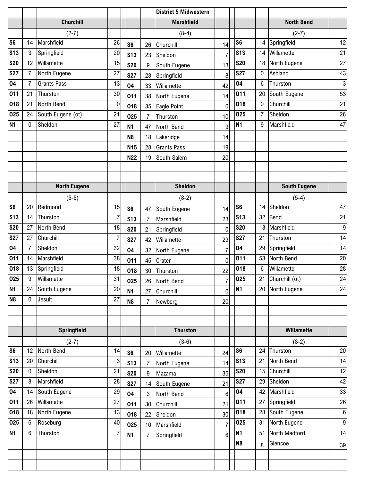|                |                |                     |                |                 |                 | <b>District 5 Midwestern</b> |                |                |    |                     |                  |
|----------------|----------------|---------------------|----------------|-----------------|-----------------|------------------------------|----------------|----------------|----|---------------------|------------------|
|                |                | <b>Churchill</b>    |                |                 |                 | <b>Marshfield</b>            |                |                |    | <b>North Bend</b>   |                  |
|                |                | $(2-7)$             |                |                 |                 | $(8-4)$                      |                |                |    | $(2-7)$             |                  |
| S <sub>6</sub> | 14             | Marshfield          | 26             | S <sub>6</sub>  | 26              | Churchill                    | 14             | S <sub>6</sub> | 14 | Springfield         | 12               |
| <b>S13</b>     | $\mathbf{3}$   | Springfield         | 20             | <b>S13</b>      | 23              | Sheldon                      | $\overline{7}$ | <b>S13</b>     | 14 | Willamette          | 21               |
| <b>S20</b>     | 12             | Willamette          | 15             | <b>S20</b>      | 9               | South Eugene                 | 13             | <b>S20</b>     | 18 | North Eugene        | 27               |
| <b>S27</b>     | $\overline{7}$ | North Eugene        | 27             | <b>S27</b>      | 28              | Springfield                  | 8              | <b>S27</b>     | 0  | Ashland             | 43               |
| 04             | $\overline{7}$ | <b>Grants Pass</b>  | 13             | 04              | 33              | Willamette                   | 42             | 04             | 6  | Thurston            | $\mathbf{3}$     |
| 011            | 21             | Thurston            | 30             | 011             | 38              | North Eugene                 | 14             | 011            | 20 | South Eugene        | 53               |
| 018            | 21             | North Bend          | $\bf{0}$       | 018             | 35              | Eagle Point                  | $\mathbf 0$    | 018            | 0  | Churchill           | 21               |
| 025            | 24             | South Eugene (ot)   | 21             | 025             | $\overline{7}$  | Thurston                     | 10             | 025            | 7  | Sheldon             | 26               |
| <b>N1</b>      | $\mathbf 0$    | Sheldon             | 27             | <b>N1</b>       | 47              | North Bend                   | 9              | <b>N1</b>      | 9  | Marshfield          | 47               |
|                |                |                     |                | N <sub>8</sub>  | 18              | Lakeridge                    | 14             |                |    |                     |                  |
|                |                |                     |                | N <sub>15</sub> | 28              | <b>Grants Pass</b>           | 19             |                |    |                     |                  |
|                |                |                     |                | <b>N22</b>      | 19              | South Salem                  | 20             |                |    |                     |                  |
|                |                |                     |                |                 |                 |                              |                |                |    |                     |                  |
|                |                |                     |                |                 |                 |                              |                |                |    |                     |                  |
|                |                | <b>North Eugene</b> |                |                 |                 | <b>Sheldon</b>               |                |                |    | <b>South Eugene</b> |                  |
|                |                | $(5-5)$             |                |                 |                 | $(8-2)$                      |                |                |    | $(5-4)$             |                  |
| S <sub>6</sub> | 20             | Redmond             | 15             | S <sub>6</sub>  | 47              | South Eugene                 | 14             | S <sub>6</sub> | 14 | Sheldon             | 47               |
| <b>S13</b>     | 14             | Thurston            | $\overline{7}$ | <b>S13</b>      | $\overline{7}$  | Marshfield                   | 23             | <b>S13</b>     | 32 | Bend                | 21               |
| <b>S20</b>     | 27             | North Bend          | 18             | <b>S20</b>      | 21              | Springfield                  | $\mathbf 0$    | <b>S20</b>     | 13 | Marshfield          | $\boldsymbol{9}$ |
| <b>S27</b>     | 27             | Churchill           | 7              | <b>S27</b>      | 42              | Willamette                   | 29             | <b>S27</b>     | 21 | Thurston            | 14               |
| 04             | $\overline{7}$ | Sheldon             | 32             | 04              | 32              | North Eugene                 | $\overline{7}$ | 04             | 29 | Springfield         | 14               |
| 011            | 14             | Marshfield          | 38             | 011             | 45              | Crater                       | $\mathbf 0$    | 011            | 53 | North Bend          | 20               |
| 018            | 13             | Springfield         | 18             | 018             | 30              | Thurston                     | 22             | 018            | 6  | Willamette          | 28               |
| 025            | 9              | Willamette          | 31             | 025             |                 | 26 North Bend                | $\overline{7}$ | 025            | 21 | Churchill (ot)      | 24               |
| <b>N1</b>      | 24             | South Eugene        | 20             | <b>N1</b>       | 27              | Churchill                    | $\mathbf 0$    | <b>N1</b>      |    | 20 North Eugene     | 24               |
| N <sub>8</sub> | $\mathbf 0$    | Jesuit              | 27             | <b>N8</b>       | $\overline{7}$  | Newberg                      | 20             |                |    |                     |                  |
|                |                |                     |                |                 |                 |                              |                |                |    |                     |                  |
|                |                |                     |                |                 |                 |                              |                |                |    |                     |                  |
|                |                | <b>Springfield</b>  |                |                 |                 | <b>Thurston</b>              |                |                |    | Willamette          |                  |
|                |                | $(2-7)$             |                |                 |                 | $(3-6)$                      |                |                |    | $(8-2)$             |                  |
| S <sub>6</sub> | 12             | North Bend          | 14             | S <sub>6</sub>  | 20              | Willamette                   | 24             | S <sub>6</sub> | 24 | Thurston            | 20               |
| <b>S13</b>     | 20             | Churchill           | 3              | <b>S13</b>      | $\overline{7}$  | North Eugene                 | 14             | <b>S13</b>     | 21 | North Bend          | 14               |
| <b>S20</b>     | $\mathbf 0$    | Sheldon             | 21             | <b>S20</b>      | 9               | Mazama                       | 35             | <b>S20</b>     | 15 | Churchill           | 12               |
| <b>S27</b>     | 8              | Marshfield          | 28             | <b>S27</b>      | 14              | South Eugene                 | 21             | <b>S27</b>     | 29 | Sheldon             | 42               |
| 04             | 14             | South Eugene        | 29             | 04              | 3               | North Bend                   | $6\phantom{1}$ | 04             | 42 | Marshfield          | 33               |
| 011            | 26             | Willamette          | 27             | 011             | 30              | Churchill                    | 21             | 011            | 27 | Springfield         | 26               |
| 018            | 18             | North Eugene        | 13             | 018             | 22              | Sheldon                      | 30             | 018            | 28 | South Eugene        | $\boldsymbol{6}$ |
| 025            | 6              | Roseburg            | 40             | 025             | 10 <sup>°</sup> | Marshfield                   | $\overline{7}$ | 025            | 31 | North Eugene        | $9\,$            |
| <b>N1</b>      | 6              | Thurston            | $\overline{7}$ | N1              | $\overline{7}$  | Springfield                  | $6\phantom{.}$ | N <sub>1</sub> | 51 | North Medford       | 14               |
|                |                |                     |                |                 |                 |                              |                | N <sub>8</sub> | 8  | Glencoe             | 39               |
|                |                |                     |                |                 |                 |                              |                |                |    |                     |                  |
|                |                |                     |                |                 |                 |                              |                |                |    |                     |                  |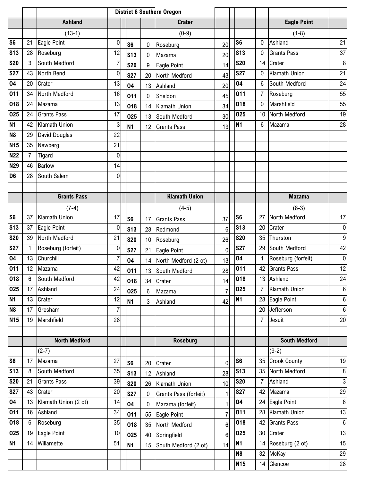|                 |                |                      |                  |                | <b>District 6 Southern Oregon</b> |                         |                 |                |                |                         |                  |
|-----------------|----------------|----------------------|------------------|----------------|-----------------------------------|-------------------------|-----------------|----------------|----------------|-------------------------|------------------|
|                 |                | <b>Ashland</b>       |                  |                |                                   | <b>Crater</b>           |                 |                |                | <b>Eagle Point</b>      |                  |
|                 |                | $(13-1)$             |                  |                |                                   | $(0-9)$                 |                 |                |                | $(1-8)$                 |                  |
| S <sub>6</sub>  | 21             | Eagle Point          | $\boldsymbol{0}$ | S <sub>6</sub> | 0                                 | Roseburg                | 20              | S <sub>6</sub> | 0              | Ashland                 | 21               |
| <b>S13</b>      | 28             | Roseburg             | 12               | <b>S13</b>     | 0                                 | Mazama                  | 20              | <b>S13</b>     | 0              | <b>Grants Pass</b>      | 37               |
| <b>S20</b>      | 3              | South Medford        | 7                | <b>S20</b>     | 9                                 | Eagle Point             | 14              | <b>S20</b>     | 14             | Crater                  | $\boldsymbol{8}$ |
| <b>S27</b>      | 43             | North Bend           | 0                | <b>S27</b>     | 20                                | North Medford           | 43              | <b>S27</b>     | 0              | <b>Klamath Union</b>    | 21               |
| 04              | 20             | Crater               | 13               | 04             |                                   | 13 Ashland              | 20              | 04             | 6              | South Medford           | 24               |
| 011             | 34             | North Medford        | 16               | 011            | 0                                 | Sheldon                 | 45              | 011            | $\overline{7}$ | Roseburg                | 55               |
| 018             | 24             | Mazama               | 13               | 018            |                                   | 14 Klamath Union        | 34              | 018            | 0              | Marshfield              | 55               |
| 025             | 24             | <b>Grants Pass</b>   | 17               | 025            | 13                                | South Medford           | 30              | 025            | 10             | North Medford           | 19               |
| <b>N1</b>       | 42             | Klamath Union        | 3                | N <sub>1</sub> | 12                                | <b>Grants Pass</b>      | 13              | <b>N1</b>      | 6              | Mazama                  | 28               |
| N <sub>8</sub>  | 29             | David Douglas        | 22               |                |                                   |                         |                 |                |                |                         |                  |
| <b>N15</b>      | 35             | Newberg              | 21               |                |                                   |                         |                 |                |                |                         |                  |
| <b>N22</b>      | $\overline{7}$ | Tigard               | $\mathbf 0$      |                |                                   |                         |                 |                |                |                         |                  |
| <b>N29</b>      | 46             | <b>Barlow</b>        | 14               |                |                                   |                         |                 |                |                |                         |                  |
| D <sub>6</sub>  | 28             | South Salem          | 0                |                |                                   |                         |                 |                |                |                         |                  |
|                 |                |                      |                  |                |                                   |                         |                 |                |                |                         |                  |
|                 |                | <b>Grants Pass</b>   |                  |                |                                   | <b>Klamath Union</b>    |                 |                |                | <b>Mazama</b>           |                  |
|                 |                | $(7-4)$              |                  |                |                                   | $(4-5)$                 |                 |                |                | $(8-3)$                 |                  |
| S <sub>6</sub>  | 37             | Klamath Union        | 17               | S <sub>6</sub> | 17                                | <b>Grants Pass</b>      | 37              | S <sub>6</sub> | 27             | North Medford           | 17               |
| <b>S13</b>      | 37             | Eagle Point          | $\mathbf 0$      | <b>S13</b>     | 28                                | Redmond                 | $6\phantom{1}6$ | <b>S13</b>     | 20             | Crater                  | $\pmb{0}$        |
| <b>S20</b>      | 39             | North Medford        | 21               | <b>S20</b>     | 10                                | Roseburg                | 26              | <b>S20</b>     | 35             | Thurston                | $9\,$            |
| <b>S27</b>      |                | Roseburg (forfeit)   | $\boldsymbol{0}$ | <b>S27</b>     | 21                                | Eagle Point             | 0               | <b>S27</b>     | 29             | South Medford           | 42               |
| 04              | 13             | Churchill            | 7                | 04             |                                   | 14 North Medford (2 ot) | 13              | 04             | $\mathbf{1}$   | Roseburg (forfeit)      | $\mathbf 0$      |
| 011             | 12             | Mazama               | 42               | 011            | 13                                | South Medford           | 28              | 011            | 42             | <b>Grants Pass</b>      | 12               |
| 018             | 6 <sup>1</sup> | South Medford        | 42               | 018            | 34                                | Crater                  | 14              | 018            |                | 13 Ashland              | 24               |
| 025             | 17             | Ashland              | 24               | 025            | 6                                 | Mazama                  | $\overline{7}$  | 025            | $\overline{7}$ | <b>Klamath Union</b>    | $\boldsymbol{6}$ |
| <b>N1</b>       | 13             | Crater               | 12               | <b>N1</b>      | $\mathbf{3}$                      | Ashland                 | 42              | <b>N1</b>      |                | 28 Eagle Point          | $\bf 6$          |
| N <sub>8</sub>  | 17             | Gresham              | $\overline{7}$   |                |                                   |                         |                 |                | 20             | Jefferson               | $6\phantom{.}$   |
| N <sub>15</sub> | 19             | Marshfield           | 28               |                |                                   |                         |                 |                | $\overline{7}$ | Jesuit                  | 20               |
|                 |                |                      |                  |                |                                   |                         |                 |                |                |                         |                  |
|                 |                | <b>North Medford</b> |                  |                |                                   | <b>Roseburg</b>         |                 |                |                | <b>South Medford</b>    |                  |
|                 |                | $(2-7)$              |                  |                |                                   |                         |                 |                |                | $(9-2)$                 |                  |
| S <sub>6</sub>  | 17             | Mazama               | 27               | S <sub>6</sub> | 20                                | Crater                  | $\mathbf 0$     | <b>S6</b>      |                | 35 Crook County         | 19               |
| <b>S13</b>      | 8              | South Medford        | 35               | <b>S13</b>     |                                   | 12 Ashland              | 28              | <b>S13</b>     |                | 35 North Medford        | $\,8\,$          |
| <b>S20</b>      | 21             | <b>Grants Pass</b>   | 39               | <b>S20</b>     |                                   | 26 Klamath Union        | 10              | <b>S20</b>     | $\overline{7}$ | Ashland                 | دى               |
| <b>S27</b>      | 43             | Crater               | 20               | <b>S27</b>     | 0                                 | Grants Pass (forfeit)   | 1               | <b>S27</b>     | 42             | Mazama                  | 29               |
| 04              | 13             | Klamath Union (2 ot) | 14               | 04             | $\mathbf 0$                       | Mazama (forfeit)        | $\overline{1}$  | 04             |                | 24 Eagle Point          | $\boldsymbol{6}$ |
| 011             | 16             | Ashland              | 34               | 011            | 55                                | Eagle Point             | $\overline{7}$  | 011            | 28             | Klamath Union           | 13               |
| 018             | 6              | Roseburg             | 35               | 018            | 35                                | North Medford           | $\,6\,$         | 018            | 42             | <b>Grants Pass</b>      | $6\phantom{1}$   |
| 025             | 19             | Eagle Point          | 10               | 025            |                                   | 40 Springfield          | $6\phantom{a}$  | 025            |                | 30 Crater               | 13               |
| <b>N1</b>       | 14             | Willamette           | 51               | <b>N1</b>      | 15 <sup>15</sup>                  | South Medford (2 ot)    | 14              | <b>N1</b>      |                | 14 Roseburg (2 ot)      | 15               |
|                 |                |                      |                  |                |                                   |                         |                 | N <sub>8</sub> |                | 32 McKay                | 29               |
|                 |                |                      |                  |                |                                   |                         |                 | <b>N15</b>     |                | $\overline{14}$ Glencoe | 28               |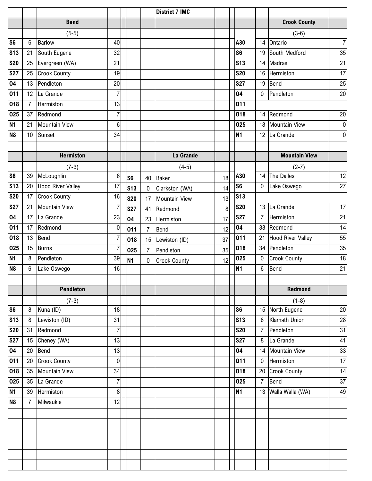|                          |                |                      |                |                |                | <b>District 7 IMC</b> |    |                |                 |                          |                |
|--------------------------|----------------|----------------------|----------------|----------------|----------------|-----------------------|----|----------------|-----------------|--------------------------|----------------|
|                          |                | <b>Bend</b>          |                |                |                |                       |    |                |                 | <b>Crook County</b>      |                |
|                          |                | $(5-5)$              |                |                |                |                       |    |                |                 | $(3-6)$                  |                |
| <b>S6</b>                | 6              | <b>Barlow</b>        | 40             |                |                |                       |    | A30            | 14              | Ontario                  | $\overline{7}$ |
| <b>S13</b>               | 21             | South Eugene         | 32             |                |                |                       |    | S <sub>6</sub> | 19              | South Medford            | 35             |
| <b>S20</b>               | 25             | Evergreen (WA)       | 21             |                |                |                       |    | <b>S13</b>     | 14              | Madras                   | 21             |
| <b>S27</b>               | 25             | <b>Crook County</b>  | 19             |                |                |                       |    | <b>S20</b>     | 16              | Hermiston                | 17             |
| 04                       | 13             | Pendleton            | 20             |                |                |                       |    | <b>S27</b>     | 19              | Bend                     | 25             |
| 011                      | 12             | La Grande            | $\overline{7}$ |                |                |                       |    | 04             | 0               | Pendleton                | 20             |
| 018                      | $\overline{7}$ | Hermiston            | 13             |                |                |                       |    | 011            |                 |                          |                |
| 025                      | 37             | Redmond              | $\overline{7}$ |                |                |                       |    | 018            | 14              | Redmond                  | 20             |
| N <sub>1</sub>           | 21             | <b>Mountain View</b> | $6\phantom{.}$ |                |                |                       |    | 025            | 18              | <b>Mountain View</b>     | $\overline{0}$ |
| N <sub>8</sub>           | 10             | Sunset               | 34             |                |                |                       |    | <b>N1</b>      | 12              | La Grande                | $\overline{0}$ |
|                          |                |                      |                |                |                |                       |    |                |                 |                          |                |
|                          |                | <b>Hermiston</b>     |                |                |                | La Grande             |    |                |                 | <b>Mountain View</b>     |                |
|                          |                | $(7-3)$              |                |                |                | $(4-5)$               |    |                |                 | $(2-7)$                  |                |
| S6                       | 39             | McLoughlin           | 6              | S <sub>6</sub> | 40             | Baker                 | 18 | A30            | 14              | The Dalles               | 12             |
| S <sub>13</sub>          | 20             | Hood River Valley    | 17             | <b>S13</b>     | $\mathbf 0$    | Clarkston (WA)        | 14 | S <sub>6</sub> | $\mathbf 0$     | Lake Oswego              | 27             |
| $\overline{\text{S}}$ 20 | 17             | <b>Crook County</b>  | 16             | <b>S20</b>     | 17             | <b>Mountain View</b>  | 13 | <b>S13</b>     |                 |                          |                |
| <b>S27</b>               | 21             | <b>Mountain View</b> | $\overline{7}$ | <b>S27</b>     | 41             | Redmond               | 8  | <b>S20</b>     | 13 <sup>1</sup> | La Grande                | 17             |
| 04                       | 17             | La Grande            | 23             | 04             | 23             | Hermiston             | 17 | <b>S27</b>     | $\overline{7}$  | Hermiston                | 21             |
| 011                      | 17             | Redmond              | 0              | 011            | $\overline{7}$ | Bend                  | 12 | 04             |                 | 33 Redmond               | 14             |
| 018                      | 13             | Bend                 | $\overline{7}$ | 018            | 15             | Lewiston (ID)         | 37 | 011            | 21              | <b>Hood River Valley</b> | 55             |
| 025                      | 15             | <b>Burns</b>         | $\overline{7}$ | 025            | $\overline{7}$ | Pendleton             | 35 | 018            | 34              | Pendleton                | 35             |
| <b>N1</b>                | 8              | Pendleton            | 39             | N <sub>1</sub> | $\mathbf 0$    | <b>Crook County</b>   | 12 | 025            | 0               | <b>Crook County</b>      | 18             |
| N <sub>8</sub>           | 6              | Lake Oswego          | 16             |                |                |                       |    | <b>N1</b>      | 6               | Bend                     | 21             |
|                          |                |                      |                |                |                |                       |    |                |                 |                          |                |
|                          |                | <b>Pendleton</b>     |                |                |                |                       |    |                |                 | Redmond                  |                |
|                          |                | $(7-3)$              |                |                |                |                       |    |                |                 | $(1-8)$                  |                |
| S6                       | $\bf 8$        | Kuna (ID)            | 18             |                |                |                       |    | S <sub>6</sub> |                 | 15 North Eugene          | 20             |
| S <sub>13</sub>          | 8              | Lewiston (ID)        | 31             |                |                |                       |    | <b>S13</b>     | 6               | Klamath Union            | 28             |
| <b>S20</b>               | 31             | Redmond              | $\overline{7}$ |                |                |                       |    | <b>S20</b>     | $\overline{7}$  | Pendleton                | 31             |
| <b>S27</b>               | 15             | Cheney (WA)          | 13             |                |                |                       |    | <b>S27</b>     | 8               | La Grande                | 41             |
| 04                       | 20             | <b>Bend</b>          | 13             |                |                |                       |    | 04             | 14              | Mountain View            | 33             |
| 011                      | 20             | <b>Crook County</b>  | $\overline{0}$ |                |                |                       |    | 011            | 0               | Hermiston                | 17             |
| 018                      | 35             | <b>Mountain View</b> | 34             |                |                |                       |    | 018            | 20              | <b>Crook County</b>      | 14             |
| 025                      | 35             | La Grande            | $\overline{7}$ |                |                |                       |    | 025            | $\overline{7}$  | Bend                     | 37             |
| N <sub>1</sub>           | 39             | Hermiston            | $\bf 8$        |                |                |                       |    | <b>N1</b>      |                 | 13 Walla Walla (WA)      | 49             |
| N <sub>8</sub>           | $\overline{7}$ | Milwaukie            | 12             |                |                |                       |    |                |                 |                          |                |
|                          |                |                      |                |                |                |                       |    |                |                 |                          |                |
|                          |                |                      |                |                |                |                       |    |                |                 |                          |                |
|                          |                |                      |                |                |                |                       |    |                |                 |                          |                |
|                          |                |                      |                |                |                |                       |    |                |                 |                          |                |
|                          |                |                      |                |                |                |                       |    |                |                 |                          |                |
|                          |                |                      |                |                |                |                       |    |                |                 |                          |                |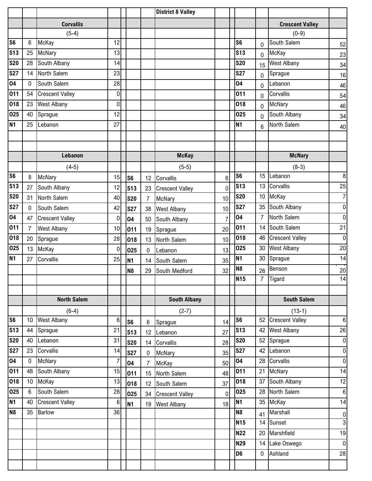|                |                |                        |                |                |                | <b>District 8 Valley</b> |                |                 |                |                        |                  |
|----------------|----------------|------------------------|----------------|----------------|----------------|--------------------------|----------------|-----------------|----------------|------------------------|------------------|
|                |                | <b>Corvallis</b>       |                |                |                |                          |                |                 |                | <b>Crescent Valley</b> |                  |
|                |                | $(5-4)$                |                |                |                |                          |                |                 |                | $(0-9)$                |                  |
| S <sub>6</sub> | 6              | McKay                  | 12             |                |                |                          |                | S <sub>6</sub>  | $\overline{0}$ | South Salem            | 52               |
| <b>S13</b>     | 25             | McNary                 | 13             |                |                |                          |                | S <sub>13</sub> | 0              | McKay                  | 23               |
| <b>S20</b>     | 28             | South Albany           | 14             |                |                |                          |                | <b>S20</b>      | 15             | <b>West Albany</b>     | 34               |
| <b>S27</b>     | 14             | North Salem            | 23             |                |                |                          |                | <b>S27</b>      | $\overline{0}$ | Sprague                | 16               |
| 04             | 0              | South Salem            | 28             |                |                |                          |                | 04              | 0              | Lebanon                | 46               |
| 011            | 54             | <b>Crescent Valley</b> | $\bf{0}$       |                |                |                          |                | 011             | $\overline{0}$ | Corvallis              | 54               |
| 018            | 23             | <b>West Albany</b>     | $\mathbf 0$    |                |                |                          |                | 018             | $\Omega$       | McNary                 | 46               |
| 025            | 40             | Sprague                | 12             |                |                |                          |                | 025             | 0              | South Albany           | 34               |
| <b>N1</b>      | 25             | Lebanon                | 27             |                |                |                          |                | <b>N1</b>       | 6              | North Salem            | 40               |
|                |                |                        |                |                |                |                          |                |                 |                |                        |                  |
|                |                |                        |                |                |                |                          |                |                 |                |                        |                  |
|                |                | Lebanon                |                |                |                | <b>McKay</b>             |                |                 |                | <b>McNary</b>          |                  |
|                |                | $(4-5)$                |                |                |                | $(5-5)$                  |                |                 |                | $(8-3)$                |                  |
| S <sub>6</sub> | 8              | <b>McNary</b>          | 15             | S <sub>6</sub> | 12             | Corvallis                | 6              | S <sub>6</sub>  | 15             | Lebanon                | $\, 8$           |
| <b>S13</b>     | 27             | South Albany           | 12             | <b>S13</b>     | 23             | <b>Crescent Valley</b>   | $\mathbf 0$    | <b>S13</b>      | 13             | Corvallis              | 25               |
| <b>S20</b>     | 31             | North Salem            | 40             | <b>S20</b>     | $\overline{7}$ | McNary                   | 10             | <b>S20</b>      | 10             | McKay                  | $\overline{7}$   |
| <b>S27</b>     | $\mathbf 0$    | South Salem            | 42             | <b>S27</b>     | 38             | <b>West Albany</b>       | 10             | <b>S27</b>      | 35             | South Albany           | $\pmb{0}$        |
| 04             | 47             | <b>Crescent Valley</b> | $\bf{0}$       | 04             | 50             | South Albany             | $\overline{7}$ | 04              | $\overline{7}$ | North Salem            | $\overline{0}$   |
| 011            | $\overline{7}$ | <b>West Albany</b>     | 10             | 011            | 19             | Sprague                  | 20             | 011             | 14             | South Salem            | 21               |
| 018            | 20             | Sprague                | 28             | 018            | 13             | North Salem              | 10             | 018             | 46             | <b>Crescent Valley</b> | $\overline{0}$   |
| 025            | 13             | McKay                  | $\bf{0}$       | 025            | 0              | Lebanon                  | 13             | 025             | 30             | <b>West Albany</b>     | 20               |
| <b>N1</b>      | 27             | Corvallis              | 25             | <b>N1</b>      | 14             | South Salem              | 35             | <b>N1</b>       | 30             | Sprague                | 14               |
|                |                |                        |                | N <sub>8</sub> | 29             | South Medford            | 32             | N <sub>8</sub>  | 26             | Benson                 | $20\,$           |
|                |                |                        |                |                |                |                          |                | N <sub>15</sub> | $\overline{7}$ | Tigard                 | 14               |
|                |                |                        |                |                |                |                          |                |                 |                |                        |                  |
|                |                | <b>North Salem</b>     |                |                |                | <b>South Albany</b>      |                |                 |                | <b>South Salem</b>     |                  |
|                |                | $(6-4)$                |                |                |                | $(2-7)$                  |                |                 |                | $(13-1)$               |                  |
| S <sub>6</sub> | 10             | <b>West Albany</b>     | $\,6$          | S <sub>6</sub> | 6              | Sprague                  | 14             | S <sub>6</sub>  | 52             | <b>Crescent Valley</b> | $\,6$            |
| <b>S13</b>     | 44             | Sprague                | 21             | <b>S13</b>     | 12             | Lebanon                  | 27             | <b>S13</b>      | 42             | <b>West Albany</b>     | 26               |
| <b>S20</b>     | 40             | Lebanon                | 31             | <b>S20</b>     | 14             | Corvallis                | 28             | <b>S20</b>      | 52             | Sprague                | $\overline{0}$   |
| <b>S27</b>     | 23             | Corvallis              | 14             | <b>S27</b>     | 0              | McNary                   | 35             | <b>S27</b>      | 42             | Lebanon                | $\overline{0}$   |
| 04             | $\mathbf 0$    | McNary                 | $\overline{7}$ | 04             | 7              | McKay                    | 50             | 04              | 28             | Corvallis              | $\overline{0}$   |
| 011            | 48             | South Albany           | 15             | 011            | 15             | North Salem              | 48             | 011             | 21             | McNary                 | 14               |
| 018            | 10             | McKay                  | 13             | 018            | 12             | South Salem              | 37             | 018             | 37             | South Albany           | 12               |
| 025            | $6\phantom{a}$ | South Salem            | 28             | 025            | 34             | <b>Crescent Valley</b>   | $\mathbf 0$    | 025             | 28             | North Salem            | $6 \overline{6}$ |
| <b>N1</b>      | 40             | <b>Crescent Valley</b> | $\,6$          | <b>N1</b>      | 19             | <b>West Albany</b>       | 18             | <b>N1</b>       |                | 35 McKay               | 14               |
| N <sub>8</sub> | 35             | Barlow                 | 36             |                |                |                          |                | N <sub>8</sub>  | 41             | Marshall               | $\overline{0}$   |
|                |                |                        |                |                |                |                          |                | <b>N15</b>      |                | 14 Sunset              | $\overline{3}$   |
|                |                |                        |                |                |                |                          |                | <b>N22</b>      | 20             | Marshfield             | 19               |
|                |                |                        |                |                |                |                          |                | <b>N29</b>      | 14             | Lake Oswego            | $\pmb{0}$        |
|                |                |                        |                |                |                |                          |                | D <sub>6</sub>  | $\overline{0}$ | Ashland                | 28               |
|                |                |                        |                |                |                |                          |                |                 |                |                        |                  |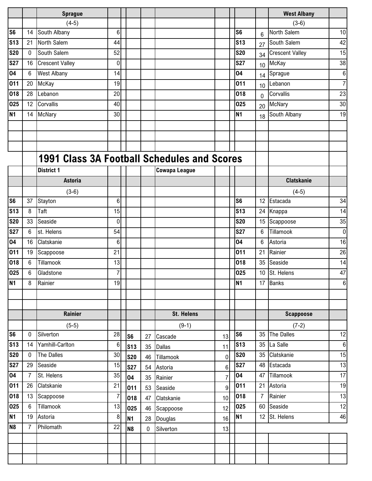|                          |                | <b>Sprague</b>                              |                |                |             |                      |                  |                |                  | <b>West Albany</b>     |                |
|--------------------------|----------------|---------------------------------------------|----------------|----------------|-------------|----------------------|------------------|----------------|------------------|------------------------|----------------|
|                          |                | $(4-5)$                                     |                |                |             |                      |                  |                |                  | $(3-6)$                |                |
| S6                       | 14             | South Albany                                | $6\phantom{.}$ |                |             |                      |                  | S <sub>6</sub> | 6                | North Salem            | 10             |
| S <sub>13</sub>          | 21             | North Salem                                 | 44             |                |             |                      |                  | <b>S13</b>     | 27               | South Salem            | 42             |
| $\overline{\text{S}}$ 20 | $\mathbf 0$    | South Salem                                 | 52             |                |             |                      |                  | <b>S20</b>     | 34               | <b>Crescent Valley</b> | 15             |
| <b>S27</b>               | 16             | <b>Crescent Valley</b>                      | $\overline{0}$ |                |             |                      |                  | <b>S27</b>     | 10               | McKay                  | 38             |
| 04                       | $6\phantom{1}$ | <b>West Albany</b>                          | 14             |                |             |                      |                  | 04             | 14               | Sprague                | 6 <sup>1</sup> |
| $\overline{0}11$         | 20             | McKay                                       | 19             |                |             |                      |                  | 011            | 10 <sup>10</sup> | Lebanon                | 7              |
| 018                      | 28             | Lebanon                                     | 20             |                |             |                      |                  | 018            | 0                | Corvallis              | 23             |
| 025                      | 12             | Corvallis                                   | 40             |                |             |                      |                  | 025            | 20               | McNary                 | 30             |
| N <sub>1</sub>           | 14             | McNary                                      | 30             |                |             |                      |                  | <b>N1</b>      | 18               | South Albany           | 19             |
|                          |                |                                             |                |                |             |                      |                  |                |                  |                        |                |
|                          |                |                                             |                |                |             |                      |                  |                |                  |                        |                |
|                          |                |                                             |                |                |             |                      |                  |                |                  |                        |                |
|                          |                | 1991 Class 3A Football Schedules and Scores |                |                |             |                      |                  |                |                  |                        |                |
|                          |                | <b>District 1</b>                           |                |                |             | <b>Cowapa League</b> |                  |                |                  |                        |                |
|                          |                | <b>Astoria</b>                              |                |                |             |                      |                  |                |                  | <b>Clatskanie</b>      |                |
|                          |                | $(3-6)$                                     |                |                |             |                      |                  |                |                  | $(4-5)$                |                |
| <b>S6</b>                | 37             | Stayton                                     | 6              |                |             |                      |                  | S <sub>6</sub> | 12 <sup>°</sup>  | Estacada               | 34             |
| <b>S13</b>               | 8              | Taft                                        | 15             |                |             |                      |                  | <b>S13</b>     | 24               | Knappa                 | 14             |
| <b>S20</b>               | 33             | Seaside                                     | 0              |                |             |                      |                  | <b>S20</b>     | 15               | Scappoose              | 35             |
| <b>S27</b>               | 6              | st. Helens                                  | 54             |                |             |                      |                  | <b>S27</b>     | 6                | Tillamook              | $\overline{0}$ |
| 04                       | 16             | Clatskanie                                  | 6              |                |             |                      |                  | 04             | 6                | Astoria                | 16             |
| 011                      | 19             | Scappoose                                   | 21             |                |             |                      |                  | 011            | 21               | Rainier                | 26             |
| 018                      | 6              | Tillamook                                   | 13             |                |             |                      |                  | 018            | 35               | Seaside                | 14             |
| 025                      | 6              | Gladstone                                   | $\overline{7}$ |                |             |                      |                  | 025            | 10 <sup>1</sup>  | St. Helens             | 47             |
| N <sub>1</sub>           | $8\phantom{.}$ | Rainier                                     | 19             |                |             |                      |                  | <b>N1</b>      |                  | 17 Banks               | 6              |
|                          |                |                                             |                |                |             |                      |                  |                |                  |                        |                |
|                          |                |                                             |                |                |             |                      |                  |                |                  |                        |                |
|                          |                | Rainier                                     |                |                |             | <b>St. Helens</b>    |                  |                |                  | <b>Scappoose</b>       |                |
|                          |                | $(5-5)$                                     |                |                |             | $(9-1)$              |                  |                |                  | $(7-2)$                |                |
| S6                       | 0              | Silverton                                   | 28             | S <sub>6</sub> | 27          | Cascade              | 13               | S <sub>6</sub> | 35               | <b>The Dalles</b>      | 12             |
| S <sub>13</sub>          | 14             | Yamhill-Carlton                             | $6\phantom{1}$ | <b>S13</b>     | 35          | <b>Dallas</b>        | 11               | <b>S13</b>     |                  | 35 La Salle            | 6              |
| <b>S20</b>               | $\mathbf 0$    | The Dalles                                  | 30             | <b>S20</b>     | 46          | Tillamook            | $\boldsymbol{0}$ | <b>S20</b>     | 35               | Clatskanie             | 15             |
| $\overline{\text{S}}$ 27 | 29             | Seaside                                     | 15             | <b>S27</b>     | 54          | Astoria              | 6                | <b>S27</b>     | 48               | Estacada               | 13             |
| 04                       | $\overline{7}$ | St. Helens                                  | 35             | 04             | 35          | Rainier              | $\overline{7}$   | 04             | 47               | Tillamook              | 17             |
| 011                      | 26             | Clatskanie                                  | 21             | 011            | 53          | Seaside              | 9                | 011            | 21               | Astoria                | 19             |
| 018                      | 13             | Scappoose                                   | $\overline{7}$ | 018            | 47          | Clatskanie           | 10               | 018            | 7                | Rainier                | 13             |
| 025                      | $6\phantom{1}$ | Tillamook                                   | 13             | 025            | 46          | Scappoose            | 12               | 025            | 60               | Seaside                | 12             |
| N <sub>1</sub>           | 19             | Astoria                                     | 8              | <b>N1</b>      | 28          | Douglas              | 16               | N <sub>1</sub> | 12 <sup>°</sup>  | St. Helens             | 46             |
| N <sub>8</sub>           | $\overline{7}$ | Philomath                                   | 22             | N <sub>8</sub> | $\mathbf 0$ | Silverton            | 13               |                |                  |                        |                |
|                          |                |                                             |                |                |             |                      |                  |                |                  |                        |                |
|                          |                |                                             |                |                |             |                      |                  |                |                  |                        |                |
|                          |                |                                             |                |                |             |                      |                  |                |                  |                        |                |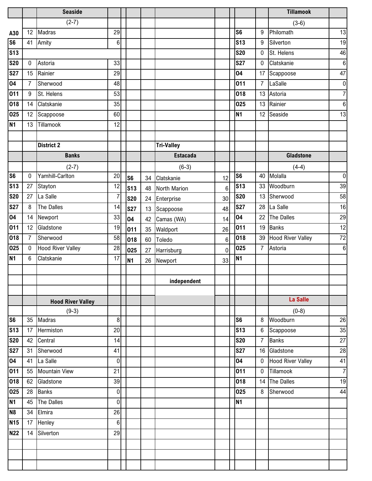|                |                | <b>Seaside</b>           |                |                 |    |                   |                |                |                | <b>Tillamook</b>         |                |
|----------------|----------------|--------------------------|----------------|-----------------|----|-------------------|----------------|----------------|----------------|--------------------------|----------------|
|                |                | $(2-7)$                  |                |                 |    |                   |                |                |                | $(3-6)$                  |                |
| A30            | 12             | Madras                   | 29             |                 |    |                   |                | S <sub>6</sub> | 9              | Philomath                | 13             |
| <b>S6</b>      | 41             | Amity                    | 6              |                 |    |                   |                | <b>S13</b>     | 9              | Silverton                | 19             |
| <b>S13</b>     |                |                          |                |                 |    |                   |                | <b>S20</b>     | $\mathbf 0$    | St. Helens               | 46             |
| <b>S20</b>     | $\pmb{0}$      | Astoria                  | 33             |                 |    |                   |                | <b>S27</b>     | $\mathbf 0$    | Clatskanie               | $6 \mid$       |
| <b>S27</b>     | 15             | Rainier                  | 29             |                 |    |                   |                | 04             | 17             | Scappoose                | 47             |
| 04             | $\overline{7}$ | Sherwood                 | 48             |                 |    |                   |                | 011            | $\overline{7}$ | LaSalle                  | 0              |
| 011            | $9\,$          | St. Helens               | 53             |                 |    |                   |                | 018            | 13             | Astoria                  | 7              |
| 018            | 14             | Clatskanie               | 35             |                 |    |                   |                | 025            | 13             | Rainier                  | $6 \mid$       |
| 025            | 12             | Scappoose                | 60             |                 |    |                   |                | <b>N1</b>      |                | 12 Seaside               | 13             |
| <b>N1</b>      | 13             | Tillamook                | 12             |                 |    |                   |                |                |                |                          |                |
|                |                |                          |                |                 |    |                   |                |                |                |                          |                |
|                |                | <b>District 2</b>        |                |                 |    | <b>Tri-Valley</b> |                |                |                |                          |                |
|                |                | <b>Banks</b>             |                |                 |    | <b>Estacada</b>   |                |                |                | <b>Gladstone</b>         |                |
|                |                | $(2-7)$                  |                |                 |    | $(6-3)$           |                |                |                | $(4-4)$                  |                |
| S <sub>6</sub> | $\pmb{0}$      | Yamhill-Carlton          | 20             | S <sub>6</sub>  | 34 | Clatskanie        | 12             | S <sub>6</sub> | 40             | Molalla                  | 0              |
| <b>S13</b>     | 27             | Stayton                  | 12             | S <sub>13</sub> | 48 | North Marion      | $\overline{6}$ | <b>S13</b>     | 33             | Woodburn                 | 39             |
| <b>S20</b>     | 27             | La Salle                 | $\overline{7}$ | <b>S20</b>      | 24 | Enterprise        | 30             | <b>S20</b>     | 13             | Sherwood                 | 58             |
| <b>S27</b>     | 8              | The Dalles               | 14             | <b>S27</b>      | 13 | Scappoose         | 48             | <b>S27</b>     | 28             | La Salle                 | 16             |
| 04             | 14             | Newport                  | 33             | 04              | 42 | Camas (WA)        | 14             | 04             | 22             | The Dalles               | 29             |
| 011            | 12             | Gladstone                | 19             | 011             | 35 | Waldport          | 26             | 011            | 19             | <b>Banks</b>             | 12             |
| 018            | $\overline{7}$ | Sherwood                 | 58             | 018             | 60 | Toledo            | 6              | 018            | 39             | <b>Hood River Valley</b> | 72             |
| 025            | $\mathbf 0$    | <b>Hood River Valley</b> | 28             | 025             | 27 | Harrisburg        | $\overline{0}$ | 025            | $\overline{7}$ | Astoria                  | 6              |
| <b>N1</b>      | 6              | Clatskanie               | 17             | <b>N1</b>       | 26 | Newport           | 33             | <b>N1</b>      |                |                          |                |
|                |                |                          |                |                 |    |                   |                |                |                |                          |                |
|                |                |                          |                |                 |    | independent       |                |                |                |                          |                |
|                |                |                          |                |                 |    |                   |                |                |                |                          |                |
|                |                | <b>Hood River Valley</b> |                |                 |    |                   |                |                |                | La Salle                 |                |
|                |                | $(9-3)$                  |                |                 |    |                   |                |                |                | $(0-8)$                  |                |
| S <sub>6</sub> | 35             | Madras                   | $\,8\,$        |                 |    |                   |                | S <sub>6</sub> | 8              | Woodburn                 | 26             |
| <b>S13</b>     | 17             | Hermiston                | 20             |                 |    |                   |                | <b>S13</b>     | 6              | Scappoose                | 35             |
| <b>S20</b>     | 42             | Central                  | 14             |                 |    |                   |                | <b>S20</b>     | $\overline{7}$ | <b>Banks</b>             | 27             |
| <b>S27</b>     | 31             | Sherwood                 | 41             |                 |    |                   |                | <b>S27</b>     |                | 16 Gladstone             | 28             |
| 04             | 41             | La Salle                 | $\mathbf 0$    |                 |    |                   |                | 04             | $\mathbf 0$    | <b>Hood River Valley</b> | 41             |
| 011            | 55             | <b>Mountain View</b>     | 21             |                 |    |                   |                | 011            | $\mathbf 0$    | Tillamook                | $\overline{7}$ |
| 018            | 62             | Gladstone                | 39             |                 |    |                   |                | 018            |                | 14 The Dalles            | 19             |
| 025            | 28             | Banks                    | $\mathbf 0$    |                 |    |                   |                | 025            | 8              | Sherwood                 | 44             |
| <b>N1</b>      | 45             | The Dalles               | $\overline{0}$ |                 |    |                   |                | <b>N1</b>      |                |                          |                |
| N <sub>8</sub> | 34             | Elmira                   | 26             |                 |    |                   |                |                |                |                          |                |
| <b>N15</b>     | 17             | Henley                   | $6\phantom{a}$ |                 |    |                   |                |                |                |                          |                |
| <b>N22</b>     | 14             | Silverton                | 29             |                 |    |                   |                |                |                |                          |                |
|                |                |                          |                |                 |    |                   |                |                |                |                          |                |
|                |                |                          |                |                 |    |                   |                |                |                |                          |                |
|                |                |                          |                |                 |    |                   |                |                |                |                          |                |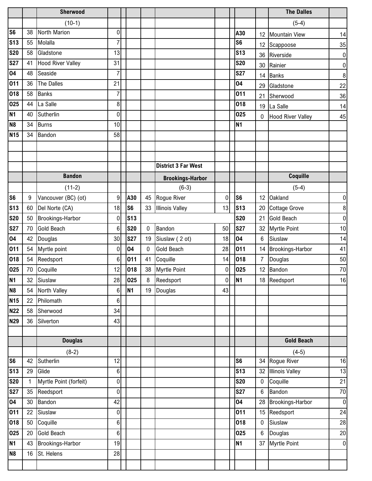|                |                    | Sherwood                 |                  |                |    |                            |                  |                |                  | <b>The Dalles</b>                   |                      |
|----------------|--------------------|--------------------------|------------------|----------------|----|----------------------------|------------------|----------------|------------------|-------------------------------------|----------------------|
|                |                    | $(10-1)$                 |                  |                |    |                            |                  |                |                  | $(5-4)$                             |                      |
| S <sub>6</sub> | 38                 | North Marion             | $\boldsymbol{0}$ |                |    |                            |                  | A30            | 12               | Mountain View                       | 14                   |
| <b>S13</b>     | 55                 | Molalla                  | 7                |                |    |                            |                  | S <sub>6</sub> |                  | 12 Scappoose                        | 35                   |
| <b>S20</b>     | 58                 | Gladstone                | 13               |                |    |                            |                  | <b>S13</b>     |                  | 36 Riverside                        | 0                    |
| <b>S27</b>     | 41                 | <b>Hood River Valley</b> | 31               |                |    |                            |                  | <b>S20</b>     |                  | 30 Rainier                          | $\overline{0}$       |
| 04             | 48                 | Seaside                  | $\overline{7}$   |                |    |                            |                  | <b>S27</b>     | 14               | <b>Banks</b>                        | $\bf 8$              |
| 011            | 36                 | The Dalles               | 21               |                |    |                            |                  | 04             | 29               | Gladstone                           | 22                   |
| 018            | 58                 | <b>Banks</b>             | $\overline{7}$   |                |    |                            |                  | 011            | 21               | Sherwood                            | 36                   |
| 025            | 44                 | La Salle                 | 8                |                |    |                            |                  | 018            |                  | 19 La Salle                         | 14                   |
| <b>N1</b>      | 40                 | Sutherlin                | $\mathbf 0$      |                |    |                            |                  | 025            | $\mathbf 0$      | <b>Hood River Valley</b>            | 45                   |
| N <sub>8</sub> | 34                 | <b>Burns</b>             | 10               |                |    |                            |                  | <b>N1</b>      |                  |                                     |                      |
| <b>N15</b>     | 34                 | Bandon                   | 58               |                |    |                            |                  |                |                  |                                     |                      |
|                |                    |                          |                  |                |    |                            |                  |                |                  |                                     |                      |
|                |                    |                          |                  |                |    |                            |                  |                |                  |                                     |                      |
|                |                    |                          |                  |                |    | <b>District 3 Far West</b> |                  |                |                  |                                     |                      |
|                |                    | <b>Bandon</b>            |                  |                |    | <b>Brookings-Harbor</b>    |                  |                |                  | Coquille                            |                      |
|                |                    | $(11-2)$                 |                  |                |    | $(6-3)$                    |                  |                |                  | $(5-4)$                             |                      |
| S <sub>6</sub> | 9                  | Vancouver (BC) (ot)      | 9                | A30            | 45 | Rogue River                | $\boldsymbol{0}$ | S <sub>6</sub> | 12               | <b>Oakland</b>                      | $\overline{0}$       |
| <b>S13</b>     | 60                 | Del Norte (CA)           | 18               | S <sub>6</sub> | 33 | <b>Illinois Valley</b>     | 13               | <b>S13</b>     | 20               | <b>Cottage Grove</b>                | 8                    |
| <b>S20</b>     | 50                 | Brookings-Harbor         | $\boldsymbol{0}$ | <b>S13</b>     |    |                            |                  | <b>S20</b>     | 21               | Gold Beach                          | $\overline{0}$       |
| <b>S27</b>     | 70                 | <b>Gold Beach</b>        | $\,6$            | <b>S20</b>     | 0  | Bandon                     | 50               | <b>S27</b>     | 32               | <b>Myrtle Point</b>                 | 10                   |
| 04             | 42                 | Douglas                  | 30               | <b>S27</b>     | 19 | Siuslaw (2 ot)             | 18               | 04             | 6                | Siuslaw                             | 14                   |
| 011            | 54                 | Myrtle point             | 0                | 04             | 0  | Gold Beach                 | 28               | 011            |                  | 14 Brookings-Harbor                 | 41                   |
| 018            | 54                 | Reedsport                | $6\phantom{1}6$  | 011            | 41 | Coquille                   | 14               | 018            | $\overline{7}$   | Douglas                             | 50                   |
| 025            | 70                 | Coquille                 | 12               | 018            | 38 | Myrtle Point               | $\boldsymbol{0}$ | 025            | 12               | Bandon                              | 70                   |
| <b>N1</b>      | 32                 | Siuslaw                  | 28               | 025            | 8  | Reedsport                  | $\overline{0}$   | N <sub>1</sub> |                  | 18 Reedsport                        | 16                   |
| <b>N8</b>      | 54                 | North Valley             | $\boldsymbol{6}$ | <b>N1</b>      | 19 | Douglas                    | 43               |                |                  |                                     |                      |
| <b>N15</b>     | 22                 | Philomath                | $\overline{6}$   |                |    |                            |                  |                |                  |                                     |                      |
| <b>N22</b>     | 58                 | Sherwood                 | 34               |                |    |                            |                  |                |                  |                                     |                      |
| <b>N29</b>     | 36                 | Silverton                | 43               |                |    |                            |                  |                |                  |                                     |                      |
|                |                    |                          |                  |                |    |                            |                  |                |                  |                                     |                      |
|                |                    | <b>Douglas</b>           |                  |                |    |                            |                  |                |                  | <b>Gold Beach</b>                   |                      |
|                |                    | $(8-2)$                  |                  |                |    |                            |                  |                |                  | $(4-5)$                             |                      |
| S <sub>6</sub> | 42                 | Sutherlin                | 12               |                |    |                            |                  | S <sub>6</sub> |                  | 34 Rogue River                      | 16                   |
| <b>S13</b>     | 29                 | Glide                    | $\boldsymbol{6}$ |                |    |                            |                  | <b>S13</b>     | 32 <sub>1</sub>  | <b>Illinois Valley</b>              | 13                   |
| <b>S20</b>     | $\mathbf{1}$<br>35 | Myrtle Point (forfeit)   | 0<br>$\mathbf 0$ |                |    |                            |                  | <b>S20</b>     | $\mathbf 0$<br>6 | Coquille<br>Bandon                  | 21                   |
| <b>S27</b>     |                    | Reedsport                | 42               |                |    |                            |                  | <b>S27</b>     |                  |                                     | 70                   |
| 04<br>011      | 30<br>22           | Bandon<br>Siuslaw        | $\pmb{0}$        |                |    |                            |                  | 04<br>011      |                  | 28 Brookings-Harbor<br>15 Reedsport | $\overline{0}$<br>24 |
| 018            | 50                 | Coquille                 | $6\phantom{.}$   |                |    |                            |                  | 018            | $\mathbf 0$      | Siuslaw                             | 28                   |
| 025            | 20                 | <b>Gold Beach</b>        | $6\phantom{.}$   |                |    |                            |                  | 025            | 6 <sup>1</sup>   | Douglas                             | 20                   |
| <b>N1</b>      | 43                 | Brookings-Harbor         | 19               |                |    |                            |                  | <b>N1</b>      |                  | 37 Myrtle Point                     | $\overline{0}$       |
| N <sub>8</sub> | 16                 | St. Helens               | 28               |                |    |                            |                  |                |                  |                                     |                      |
|                |                    |                          |                  |                |    |                            |                  |                |                  |                                     |                      |
|                |                    |                          |                  |                |    |                            |                  |                |                  |                                     |                      |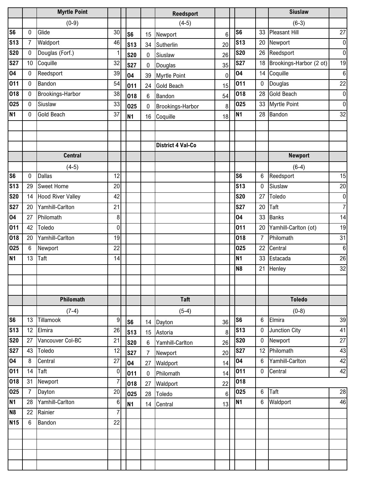|                |                 | <b>Myrtle Point</b>      |                  |                |                 | <b>Reedsport</b>         |              |                |                 | <b>Siuslaw</b>          |                  |
|----------------|-----------------|--------------------------|------------------|----------------|-----------------|--------------------------|--------------|----------------|-----------------|-------------------------|------------------|
|                |                 | $(0-9)$                  |                  |                |                 | $(4-5)$                  |              |                |                 | $(6-3)$                 |                  |
| S <sub>6</sub> | 0               | Glide                    | 30               | S <sub>6</sub> | 15              | Newport                  | 6            | S <sub>6</sub> | 33              | <b>Pleasant Hill</b>    | 27               |
| <b>S13</b>     | 7               | Waldport                 | 46               | <b>S13</b>     | 34              | Sutherlin                | 20           | <b>S13</b>     | 20              | Newport                 | $\overline{0}$   |
| <b>S20</b>     | $\mathbf 0$     | Douglas (Forf.)          | $\mathbf{1}$     | <b>S20</b>     | $\mathbf 0$     | Siuslaw                  | 26           | <b>S20</b>     | 26              | Reedsport               | $\overline{0}$   |
| <b>S27</b>     | 10 <sup>1</sup> | Coquille                 | 32               | <b>S27</b>     | $\mathbf 0$     | Douglas                  | 35           | <b>S27</b>     | 18              | Brookings-Harbor (2 ot) | 19               |
| 04             | $\mathbf 0$     | Reedsport                | 39               | 04             | 39              | <b>Myrtle Point</b>      | $\mathbf{0}$ | 04             | 14              | Coquille                | $6 \overline{6}$ |
| 011            | $\mathbf 0$     | Bandon                   | 54               | 011            | 24              | <b>Gold Beach</b>        | 15           | 011            | 0               | Douglas                 | 22               |
| 018            | 0               | Brookings-Harbor         | 38               | 018            | $6\phantom{.0}$ | Bandon                   | 54           | 018            | 28              | <b>Gold Beach</b>       | $\overline{0}$   |
| 025            | 0               | Siuslaw                  | 33               | 025            | $\mathbf 0$     | Brookings-Harbor         | 8            | 025            | 33              | <b>Myrtle Point</b>     | $\overline{0}$   |
| <b>N1</b>      | $\mathbf 0$     | <b>Gold Beach</b>        | 37               | N1             | 16              | Coquille                 | 18           | <b>N1</b>      | 28              | Bandon                  | 32               |
|                |                 |                          |                  |                |                 |                          |              |                |                 |                         |                  |
|                |                 |                          |                  |                |                 |                          |              |                |                 |                         |                  |
|                |                 |                          |                  |                |                 | <b>District 4 Val-Co</b> |              |                |                 |                         |                  |
|                |                 | <b>Central</b>           |                  |                |                 |                          |              |                |                 | <b>Newport</b>          |                  |
|                |                 | $(4-5)$                  |                  |                |                 |                          |              |                |                 | $(6-4)$                 |                  |
| S <sub>6</sub> | $\mathbf 0$     | <b>Dallas</b>            | 12               |                |                 |                          |              | S <sub>6</sub> | 6               | Reedsport               | 15               |
| <b>S13</b>     | 29              | <b>Sweet Home</b>        | 20               |                |                 |                          |              | <b>S13</b>     | 0               | Siuslaw                 | 20               |
| <b>S20</b>     | 14              | <b>Hood River Valley</b> | 42               |                |                 |                          |              | <b>S20</b>     | 27              | Toledo                  | $\overline{0}$   |
| <b>S27</b>     | 20              | Yamhill-Carlton          | 21               |                |                 |                          |              | <b>S27</b>     | 20              | Taft                    | $\overline{7}$   |
| 04             | 27              | Philomath                | 8                |                |                 |                          |              | 04             | 33              | <b>Banks</b>            | 14               |
| 011            | 42              | Toledo                   | $\mathbf 0$      |                |                 |                          |              | 011            | 20              | Yamhill-Carlton (ot)    | 19               |
| 018            | 20              | Yamhill-Carlton          | 19               |                |                 |                          |              | 018            | $\overline{7}$  | Philomath               | 31               |
| 025            | 6               | Newport                  | 22               |                |                 |                          |              | 025            | 22              | Central                 | $\boldsymbol{6}$ |
| <b>N1</b>      | 13              | Taft                     | 14               |                |                 |                          |              | <b>N1</b>      | 33              | Estacada                | 26               |
|                |                 |                          |                  |                |                 |                          |              | N <sub>8</sub> | 21              | Henley                  | 32               |
|                |                 |                          |                  |                |                 |                          |              |                |                 |                         |                  |
|                |                 |                          |                  |                |                 |                          |              |                |                 |                         |                  |
|                |                 | Philomath                |                  |                |                 | <b>Taft</b>              |              |                |                 | <b>Toledo</b>           |                  |
|                |                 | $(7-4)$                  |                  |                |                 | $(5-4)$                  |              |                |                 | $(0-8)$                 |                  |
| S <sub>6</sub> | 13              | Tillamook                | 9                | S <sub>6</sub> |                 | 14 Dayton                | 36           | S <sub>6</sub> | $6\phantom{.}$  | Elmira                  | 39               |
| <b>S13</b>     | 12              | Elmira                   | 26               | <b>S13</b>     | 15              | Astoria                  | 8            | <b>S13</b>     | 0               | Junction City           | 41               |
| <b>S20</b>     | 27              | Vancouver Col-BC         | 21               | <b>S20</b>     | $6\phantom{.0}$ | Yamhill-Carlton          | 26           | <b>S20</b>     | $\mathbf 0$     | Newport                 | 27               |
| <b>S27</b>     | 43              | Toledo                   | 12               | <b>S27</b>     | $\overline{7}$  | Newport                  | 20           | <b>S27</b>     |                 | 12 Philomath            | 43               |
| 04             | 8               | Central                  | 27               | 04             | 27              | Waldport                 | 14           | 04             | 6               | Yamhill-Carlton         | 42               |
| 011            | 14              | Taft                     | $\boldsymbol{0}$ | 011            | $\mathbf 0$     | Philomath                | 14           | 011            | $\mathbf 0$     | Central                 | 42               |
| 018            | 31              | Newport                  | $\overline{7}$   | 018            | 27              | Waldport                 | 22           | 018            |                 |                         |                  |
| 025            | 7               | Dayton                   | 20               | 025            | 28              | Toledo                   | 6            | 025            | 6               | Taft                    | 28               |
| <b>N1</b>      | 28              | Yamhill-Carlton          | $\,6$            | <b>N1</b>      |                 | 14 Central               | 13           | <b>N1</b>      | $6\phantom{.0}$ | Waldport                | 46               |
| N <sub>8</sub> | 22              | Rainier                  | $\overline{7}$   |                |                 |                          |              |                |                 |                         |                  |
| <b>N15</b>     | 6               | Bandon                   | 22               |                |                 |                          |              |                |                 |                         |                  |
|                |                 |                          |                  |                |                 |                          |              |                |                 |                         |                  |
|                |                 |                          |                  |                |                 |                          |              |                |                 |                         |                  |
|                |                 |                          |                  |                |                 |                          |              |                |                 |                         |                  |
|                |                 |                          |                  |                |                 |                          |              |                |                 |                         |                  |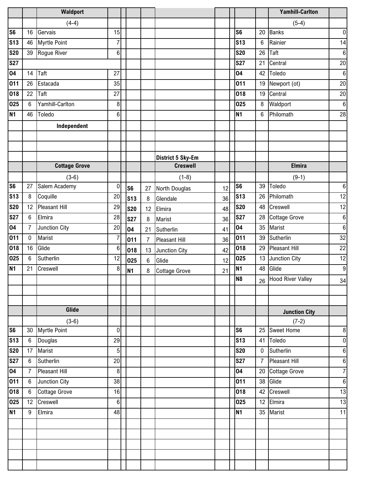|                |                  | <b>Waldport</b>      |                |                |                |                      |    |                 |                | <b>Yamhill-Carlton</b> |                  |
|----------------|------------------|----------------------|----------------|----------------|----------------|----------------------|----|-----------------|----------------|------------------------|------------------|
|                |                  | $(4-4)$              |                |                |                |                      |    |                 |                | $(5-4)$                |                  |
| S <sub>6</sub> | 16               | Gervais              | 15             |                |                |                      |    | S <sub>6</sub>  | 20             | <b>Banks</b>           | $\overline{0}$   |
| <b>S13</b>     | 46               | <b>Myrtle Point</b>  | $\overline{7}$ |                |                |                      |    | <b>S13</b>      | $6\phantom{.}$ | Rainier                | 14               |
| <b>S20</b>     | 39               | Rogue River          | 6              |                |                |                      |    | <b>S20</b>      | 26             | Taft                   | $\,6$            |
| <b>S27</b>     |                  |                      |                |                |                |                      |    | <b>S27</b>      | 21             | Central                | 20               |
| 04             | 14               | Taft                 | 27             |                |                |                      |    | 04              | 42             | Toledo                 | $6 \overline{6}$ |
| 011            | 26               | Estacada             | 35             |                |                |                      |    | 011             | 19             | Newport (ot)           | 20               |
| 018            | 22               | Taft                 | 27             |                |                |                      |    | 018             | 19             | Central                | 20               |
| 025            | $6\phantom{1}$   | Yamhill-Carlton      | 8              |                |                |                      |    | 025             | 8              | Waldport               | $\boldsymbol{6}$ |
| <b>N1</b>      | 46               | Toledo               | $6\phantom{1}$ |                |                |                      |    | <b>N1</b>       | $6\phantom{.}$ | Philomath              | 28               |
|                |                  | Independent          |                |                |                |                      |    |                 |                |                        |                  |
|                |                  |                      |                |                |                |                      |    |                 |                |                        |                  |
|                |                  |                      |                |                |                |                      |    |                 |                |                        |                  |
|                |                  |                      |                |                |                | District 5 Sky-Em    |    |                 |                |                        |                  |
|                |                  | <b>Cottage Grove</b> |                |                |                | <b>Creswell</b>      |    |                 |                | <b>Elmira</b>          |                  |
|                |                  | $(3-6)$              |                |                |                | $(1-8)$              |    |                 |                | $(9-1)$                |                  |
| S <sub>6</sub> | 27               | Salem Academy        | $\mathbf 0$    | S <sub>6</sub> | 27             | North Douglas        | 12 | S <sub>6</sub>  | 39             | Toledo                 | $\boldsymbol{6}$ |
| <b>S13</b>     | 8                | Coquille             | 20             | <b>S13</b>     | 8              | Glendale             | 36 | <b>S13</b>      | 26             | Philomath              | 12               |
| <b>S20</b>     | 12               | <b>Pleasant Hill</b> | 29             | <b>S20</b>     | 12             | Elmira               | 48 | <b>S20</b>      | 48             | Creswell               | 12               |
| <b>S27</b>     | $6\phantom{1}$   | Elmira               | 28             | <b>S27</b>     | 8              | Marist               | 36 | <b>S27</b>      | 28             | <b>Cottage Grove</b>   | $\,6\,$          |
| 04             | $\overline{7}$   | Junction City        | 20             | 04             | 21             | Sutherlin            | 41 | 04              | 35             | Marist                 | $\,6\,$          |
| 011            | $\pmb{0}$        | Marist               | $\overline{7}$ | 011            | $\overline{7}$ | <b>Pleasant Hill</b> | 36 | 011             | 39             | Sutherlin              | 32               |
| 018            | 16               | Glide                | $\,6$          | 018            | 13             | Junction City        | 42 | 018             | 29             | <b>Pleasant Hill</b>   | 22               |
| 025            | $\,6\,$          | Sutherlin            | 12             | 025            | $6\phantom{a}$ | Glide                | 12 | 025             | 13             | Junction City          | 12               |
| <b>N1</b>      | 21               | Creswell             | 8              | <b>N1</b>      | 8              | <b>Cottage Grove</b> | 21 | N <sub>1</sub>  | 48             | Glide                  | 9                |
|                |                  |                      |                |                |                |                      |    | N <sub>8</sub>  |                | 26 Hood River Valley   | 34               |
|                |                  |                      |                |                |                |                      |    |                 |                |                        |                  |
|                |                  |                      |                |                |                |                      |    |                 |                |                        |                  |
|                |                  | Glide                |                |                |                |                      |    |                 |                | <b>Junction City</b>   |                  |
|                |                  | $(3-6)$              |                |                |                |                      |    |                 |                | $(7-2)$                |                  |
| S6             | 30               | Myrtle Point         | $\mathbf 0$    |                |                |                      |    | S <sub>6</sub>  | 25             | <b>Sweet Home</b>      | $\bf 8$          |
| <b>S13</b>     | $6\,$            | Douglas              | 29             |                |                |                      |    | S <sub>13</sub> | 41             | Toledo                 | $\overline{0}$   |
| <b>S20</b>     | 17               | Marist               | 5              |                |                |                      |    | <b>S20</b>      | 0              | Sutherlin              | $\bf 6$          |
| <b>S27</b>     | $\boldsymbol{6}$ | Sutherlin            | 20             |                |                |                      |    | <b>S27</b>      | $\overline{7}$ | <b>Pleasant Hill</b>   | $\sigma$         |
| 04             | $\overline{7}$   | Pleasant Hill        | 8              |                |                |                      |    | 04              | 20             | <b>Cottage Grove</b>   | $\overline{7}$   |
| 011            | $\,6\,$          | Junction City        | 38             |                |                |                      |    | 011             | 38             | Glide                  | $\boldsymbol{6}$ |
| 018            | $\boldsymbol{6}$ | <b>Cottage Grove</b> | 16             |                |                |                      |    | 018             | 42             | Creswell               | 13               |
| 025            | 12               | Creswell             | $6\phantom{1}$ |                |                |                      |    | 025             | 12             | Elmira                 | 13               |
| N <sub>1</sub> | $\boldsymbol{9}$ | Elmira               | 48             |                |                |                      |    | <b>N1</b>       | 35             | Marist                 | 11               |
|                |                  |                      |                |                |                |                      |    |                 |                |                        |                  |
|                |                  |                      |                |                |                |                      |    |                 |                |                        |                  |
|                |                  |                      |                |                |                |                      |    |                 |                |                        |                  |
|                |                  |                      |                |                |                |                      |    |                 |                |                        |                  |
|                |                  |                      |                |                |                |                      |    |                 |                |                        |                  |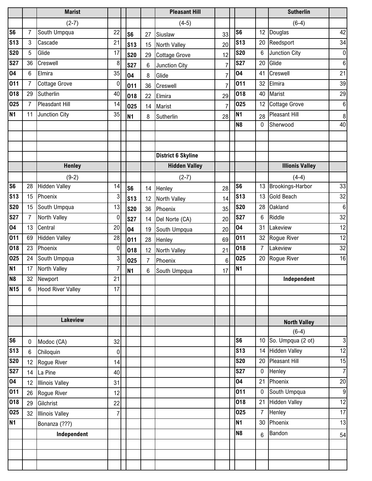|                        |                | <b>Marist</b>            |                |                |                 | <b>Pleasant Hill</b>      |                |                          |                | <b>Sutherlin</b>               |                      |
|------------------------|----------------|--------------------------|----------------|----------------|-----------------|---------------------------|----------------|--------------------------|----------------|--------------------------------|----------------------|
|                        |                | $(2-7)$                  |                |                |                 | $(4-5)$                   |                |                          |                | $(6-4)$                        |                      |
| S <sub>6</sub>         | $\overline{7}$ | South Umpqua             | 22             | S <sub>6</sub> | 27              | Siuslaw                   | 33             | S <sub>6</sub>           | 12             | Douglas                        | 42                   |
| <b>S13</b>             | 3              | Cascade                  | 21             | <b>S13</b>     | 15              | <b>North Valley</b>       | 20             | <b>S13</b>               | 20             | Reedsport                      | 34                   |
| <b>S20</b>             | 5              | Glide                    | 17             | <b>S20</b>     | 29              | <b>Cottage Grove</b>      | 12             | <b>S20</b>               | 6              | Junction City                  | $\pmb{0}$            |
| <b>S27</b>             | 36             | Creswell                 | 8              | <b>S27</b>     | 6               | Junction City             | $\overline{7}$ | <b>S27</b>               | 20             | Glide                          | $6\phantom{.}$       |
| 04                     | 6              | Elmira                   | 35             | 04             | 8               | Glide                     | $\overline{7}$ | 04                       | 41             | Creswell                       | 21                   |
| 011                    | $\overline{7}$ | <b>Cottage Grove</b>     | $\mathbf 0$    | 011            | 36              | Creswell                  | $\overline{7}$ | 011                      | 32             | Elmira                         | 39                   |
| 018                    | 29             | Sutherlin                | 40             | 018            | 22              | Elmira                    | 29             | 018                      | 40             | Marist                         | 29                   |
| 025                    | 7              | Pleasdant Hill           | 14             | 025            | 14              | Marist                    | $\overline{7}$ | 025                      | 12             | <b>Cottage Grove</b>           | $\bf 6$              |
| <b>N1</b>              | 11             | Junction City            | 35             | N1             | 8               | Sutherlin                 | 28             | <b>N1</b>                | 28             | Pleasant Hill                  | $\boldsymbol{8}$     |
|                        |                |                          |                |                |                 |                           |                | N <sub>8</sub>           | 0              | Sherwood                       | 40                   |
|                        |                |                          |                |                |                 |                           |                |                          |                |                                |                      |
|                        |                |                          |                |                |                 |                           |                |                          |                |                                |                      |
|                        |                |                          |                |                |                 | <b>District 6 Skyline</b> |                |                          |                |                                |                      |
|                        |                | <b>Henley</b>            |                |                |                 | <b>Hidden Valley</b>      |                |                          |                | <b>Illionis Valley</b>         |                      |
|                        |                | $(9-2)$                  |                |                |                 | $(2-7)$                   |                |                          |                | $(4-4)$                        |                      |
| S <sub>6</sub>         | 28             | <b>Hidden Valley</b>     | 14             | S <sub>6</sub> |                 | 14 Henley                 | 28             | S <sub>6</sub>           |                | 13 Brookings-Harbor            | 33                   |
| <b>S13</b>             | 15             | Phoenix                  | 3              | <b>S13</b>     | 12              | North Valley              | 14             | <b>S13</b>               | 13             | <b>Gold Beach</b>              | 32                   |
| <b>S20</b>             | 15             | South Umpqua             | 13             | <b>S20</b>     | 36              | Phoenix                   | 35             | <b>S20</b>               | 28             | <b>Oakland</b>                 | $\,6\,$              |
| <b>S27</b>             | $\overline{7}$ | North Valley             | $\bf{0}$       | <b>S27</b>     | 14              | Del Norte (CA)            | 20             | <b>S27</b>               | 6              | Riddle                         | 32                   |
| 04                     | 13             | Central                  | 20             | 04             | 19              | South Umpqua              | 20             | 04                       | 31             | Lakeview                       | 12                   |
| 011                    | 69             | <b>Hidden Valley</b>     | 28             | 011            | 28              | Henley                    | 69             | 011                      | 32             | Rogue River                    | 12                   |
| 018                    | 23             | Phoenix                  | $\mathbf 0$    | 018            | 12 <sup>°</sup> | North Valley              | 21             | 018                      | $\overline{7}$ | Lakeview                       | 32                   |
| 025                    | 24             | South Umpqua             | 3              | 025            | 7               | Phoenix                   | 6              | 025                      | 20             | <b>Rogue River</b>             | 16                   |
| <b>N1</b>              | 17             | North Valley             | $\overline{7}$ | N <sub>1</sub> | 6               | South Umpqua              | 17             | <b>N1</b>                |                |                                |                      |
| N <sub>8</sub>         | 32             | Newport                  | 21             |                |                 |                           |                |                          |                | Independent                    |                      |
| <b>N15</b>             | 6              | <b>Hood River Valley</b> | 17             |                |                 |                           |                |                          |                |                                |                      |
|                        |                |                          |                |                |                 |                           |                |                          |                |                                |                      |
|                        |                |                          |                |                |                 |                           |                |                          |                |                                |                      |
|                        |                | <b>Lakeview</b>          |                |                |                 |                           |                |                          |                | <b>North Valley</b>            |                      |
|                        |                |                          |                |                |                 |                           |                |                          |                | $(6-4)$                        |                      |
| S <sub>6</sub>         | 0              | Modoc (CA)               | 32             |                |                 |                           |                | S <sub>6</sub>           |                | 10 So. Umpqua $(2 \text{ ot})$ | 3                    |
| S <sub>13</sub>        | $6\phantom{.}$ | Chiloquin                | $\overline{0}$ |                |                 |                           |                | S <sub>13</sub>          |                | 14 Hidden Valley               | 12                   |
| <b>S20</b>             | 12             | Rogue River              | 14             |                |                 |                           |                | <b>S20</b><br><b>S27</b> |                | 20 Pleasant Hill               | 15<br>$\overline{7}$ |
| <b>S27</b>             | 14             | La Pine                  | 40             |                |                 |                           |                | 04                       | $\mathbf 0$    | Henley<br>21 Phoenix           | 20                   |
| $\overline{0}4$<br>011 | 12             | <b>Illinois Valley</b>   | 31             |                |                 |                           |                | 011                      | $\mathbf 0$    | South Umpqua                   |                      |
|                        | 26             | Rogue River              | 12             |                |                 |                           |                |                          |                |                                | $\overline{9}$       |
| 018<br>025             | 29             | Gilchrist                | 22             |                |                 |                           |                | 018<br>025               | $\overline{7}$ | 21 Hidden Valley<br>Henley     | 12<br>17             |
| <b>N1</b>              | 32             | <b>Illinois Valley</b>   | $\overline{7}$ |                |                 |                           |                | <b>N1</b>                | 30             | Phoenix                        | 13                   |
|                        |                | Bonanza (???)            |                |                |                 |                           |                |                          |                |                                |                      |
|                        |                | Independent              |                |                |                 |                           |                | N <sub>8</sub>           | 6              | Bandon                         | 54                   |
|                        |                |                          |                |                |                 |                           |                |                          |                |                                |                      |
|                        |                |                          |                |                |                 |                           |                |                          |                |                                |                      |
|                        |                |                          |                |                |                 |                           |                |                          |                |                                |                      |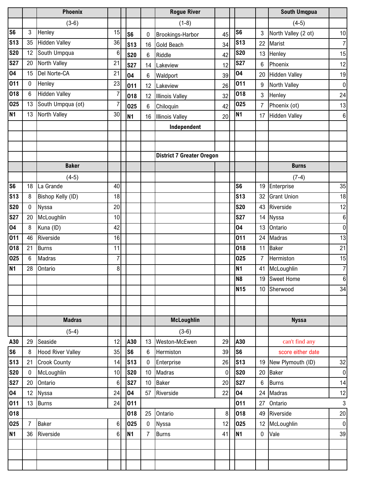|                |                | <b>Phoenix</b>           |                |                 |                 | <b>Rogue River</b>               |    |                 |                | <b>South Umqpua</b>  |                 |
|----------------|----------------|--------------------------|----------------|-----------------|-----------------|----------------------------------|----|-----------------|----------------|----------------------|-----------------|
|                |                | $(3-6)$                  |                |                 |                 | $(1-8)$                          |    |                 |                | $(4-5)$              |                 |
| S <sub>6</sub> | 3              | Henley                   | 15             | S <sub>6</sub>  | 0               | Brookings-Harbor                 | 45 | S <sub>6</sub>  | 3              | North Valley (2 ot)  | 10 <sup>1</sup> |
| <b>S13</b>     | 35             | <b>Hidden Valley</b>     | 36             | S <sub>13</sub> | 16              | <b>Gold Beach</b>                | 34 | <b>S13</b>      | 22             | Marist               | 7               |
| <b>S20</b>     | 12             | South Umpqua             | 6              | <b>S20</b>      | 6               | Riddle                           | 42 | <b>S20</b>      | 13             | Henley               | 15              |
| <b>S27</b>     | 20             | North Valley             | 21             | <b>S27</b>      | 14              | Lakeview                         | 12 | <b>S27</b>      | 6              | Phoenix              | 12              |
| 04             | 15             | Del Norte-CA             | 21             | 04              | 6               | Waldport                         | 39 | 04              | 20             | <b>Hidden Valley</b> | 19              |
| 011            | $\mathbf 0$    | Henley                   | 23             | 011             | 12              | Lakeview                         | 26 | 011             | 9              | North Valley         | $\overline{0}$  |
| 018            | $\,6\,$        | <b>Hidden Valley</b>     | $\overline{7}$ | 018             | 12              | <b>Illinois Valley</b>           | 32 | 018             | $\overline{3}$ | Henley               | 24              |
| 025            | 13             | South Umpqua (ot)        | $\overline{7}$ | 025             | 6               | Chiloquin                        | 42 | 025             | 7              | Phoenix (ot)         | 13              |
| <b>N1</b>      | 13             | North Valley             | 30             | <b>N1</b>       | 16              | <b>Illinois Valley</b>           | 20 | N1              | 17             | <b>Hidden Valley</b> | 6               |
|                |                |                          |                |                 |                 | Independent                      |    |                 |                |                      |                 |
|                |                |                          |                |                 |                 |                                  |    |                 |                |                      |                 |
|                |                |                          |                |                 |                 |                                  |    |                 |                |                      |                 |
|                |                |                          |                |                 |                 | <b>District 7 Greater Oregon</b> |    |                 |                |                      |                 |
|                |                | <b>Baker</b>             |                |                 |                 |                                  |    |                 |                | <b>Burns</b>         |                 |
|                |                | $(4-5)$                  |                |                 |                 |                                  |    |                 |                | $(7-4)$              |                 |
| S <sub>6</sub> | 18             | La Grande                | 40             |                 |                 |                                  |    | S <sub>6</sub>  | 19             | Enterprise           | 35              |
| <b>S13</b>     | 8              | Bishop Kelly (ID)        | 18             |                 |                 |                                  |    | <b>S13</b>      | 32             | <b>Grant Union</b>   | 18              |
| <b>S20</b>     | $\mathbf 0$    | <b>Nyssa</b>             | 20             |                 |                 |                                  |    | <b>S20</b>      | 43             | Riverside            | 12              |
| <b>S27</b>     | 20             | McLoughlin               | 10             |                 |                 |                                  |    | <b>S27</b>      | 14             | <b>Nyssa</b>         | 6               |
| 04             | 8              | Kuna (ID)                | 42             |                 |                 |                                  |    | 04              | 13             | Ontario              | $\overline{0}$  |
| 011            | 46             | Riverside                | 16             |                 |                 |                                  |    | 011             |                | 24 Madras            | 13              |
| 018            | 21             | <b>Burns</b>             | 11             |                 |                 |                                  |    | 018             | 11             | Baker                | 21              |
| 025            | $6\phantom{1}$ | Madras                   | $\overline{7}$ |                 |                 |                                  |    | 025             | 7              | Hermiston            | 15              |
| <b>N1</b>      | 28             | Ontario                  | $\,8\,$        |                 |                 |                                  |    | <b>N1</b>       |                | 41 McLoughlin        | $\overline{7}$  |
|                |                |                          |                |                 |                 |                                  |    | N <sub>8</sub>  |                | 19 Sweet Home        | 6               |
|                |                |                          |                |                 |                 |                                  |    | N <sub>15</sub> | 10             | Sherwood             | 34              |
|                |                |                          |                |                 |                 |                                  |    |                 |                |                      |                 |
|                |                |                          |                |                 |                 |                                  |    |                 |                |                      |                 |
|                |                | <b>Madras</b>            |                |                 |                 | <b>McLoughlin</b>                |    |                 |                | <b>Nyssa</b>         |                 |
|                |                | $(5-4)$                  |                |                 |                 | $(3-6)$                          |    |                 |                |                      |                 |
| A30            | 29             | Seaside                  | 12             | A30             | 13              | Weston-McEwen                    | 29 | A30             |                | can't find any       |                 |
| S <sub>6</sub> | 8              | <b>Hood River Valley</b> | 35             | S <sub>6</sub>  | $6\phantom{.0}$ | Hermiston                        | 39 | S <sub>6</sub>  |                | score either date    |                 |
| <b>S13</b>     | 21             | <b>Crook County</b>      | 14             | S <sub>13</sub> | $\mathbf 0$     | Enterprise                       | 26 | <b>S13</b>      | 19             | New Plymouth (ID)    | 32              |
| <b>S20</b>     | 0              | McLoughlin               | 10             | <b>S20</b>      | 10 <sup>1</sup> | Madras                           | 0  | <b>S20</b>      | 20             | <b>Baker</b>         | 0               |
| <b>S27</b>     | 20             | Ontario                  | $\,6\,$        | <b>S27</b>      | 10              | <b>Baker</b>                     | 20 | <b>S27</b>      | 6              | <b>Burns</b>         | 14              |
| 04             | 12             | Nyssa                    | 24             | 04              | 57              | Riverside                        | 22 | 04              | 24             | Madras               | 12              |
| 011            | 13             | <b>Burns</b>             | 24             | 011             |                 |                                  |    | 011             | 27             | Ontario              | $\mathbf{3}$    |
| 018            |                |                          |                | 018             | 25              | Ontario                          | 8  | 018             | 49             | Riverside            | 20              |
| 025            | $\overline{7}$ | <b>Baker</b>             | 6              | 025             | $\mathbf 0$     | <b>Nyssa</b>                     | 12 | 025             |                | 12 McLoughlin        | 0               |
| N <sub>1</sub> | 36             | Riverside                | $6\phantom{1}$ | N <sub>1</sub>  | $\overline{7}$  | <b>Burns</b>                     | 41 | N <sub>1</sub>  | $\bf{0}$       | Vale                 | 39              |
|                |                |                          |                |                 |                 |                                  |    |                 |                |                      |                 |
|                |                |                          |                |                 |                 |                                  |    |                 |                |                      |                 |
|                |                |                          |                |                 |                 |                                  |    |                 |                |                      |                 |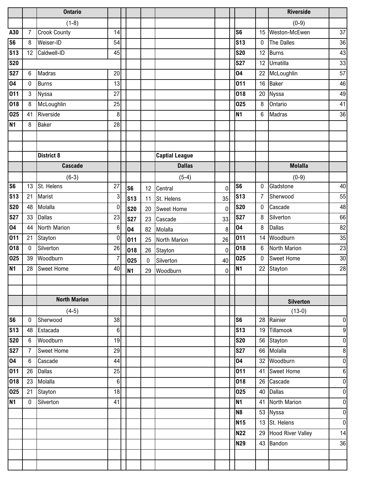|                |                  | <b>Ontario</b>      |                |                |             |                       |             |                |                 | <b>Riverside</b>     |                |
|----------------|------------------|---------------------|----------------|----------------|-------------|-----------------------|-------------|----------------|-----------------|----------------------|----------------|
|                |                  | $(1-8)$             |                |                |             |                       |             |                |                 | $(0-9)$              |                |
| A30            | $\overline{7}$   | <b>Crook County</b> | 14             |                |             |                       |             | S <sub>6</sub> | 15              | Weston-McEwen        | 37             |
| <b>S6</b>      | 8                | Weiser-ID           | 54             |                |             |                       |             | <b>S13</b>     | 0               | The Dalles           | 36             |
| <b>S13</b>     | 12               | Caldwell-ID         | 45             |                |             |                       |             | <b>S20</b>     | 12              | Burns                | 43             |
| <b>S20</b>     |                  |                     |                |                |             |                       |             | <b>S27</b>     | 12              | Umatilla             | 33             |
| <b>S27</b>     | $6\phantom{1}$   | Madras              | 20             |                |             |                       |             | 04             | 22              | McLoughlin           | 57             |
| 04             | $\mathbf 0$      | <b>Burns</b>        | 13             |                |             |                       |             | 011            | 16              | <b>Baker</b>         | 46             |
| 011            | $\mathbf{3}$     | Nyssa               | 27             |                |             |                       |             | 018            | 20              | Nyssa                | 49             |
| 018            | $\bf 8$          | McLoughlin          | 25             |                |             |                       |             | 025            | 8               | Ontario              | 41             |
| 025            | 41               | Riverside           | 8              |                |             |                       |             | <b>N1</b>      | $6\phantom{.0}$ | Madras               | 36             |
| <b>N1</b>      | 8                | Baker               | 28             |                |             |                       |             |                |                 |                      |                |
|                |                  |                     |                |                |             |                       |             |                |                 |                      |                |
|                |                  |                     |                |                |             |                       |             |                |                 |                      |                |
|                |                  | <b>District 8</b>   |                |                |             | <b>Captial League</b> |             |                |                 |                      |                |
|                |                  | <b>Cascade</b>      |                |                |             | <b>Dallas</b>         |             |                |                 | <b>Molalla</b>       |                |
|                |                  | $(6-3)$             |                |                |             | $(5-4)$               |             |                |                 | $(0-9)$              |                |
| S <sub>6</sub> | 13               | St. Helens          | 27             | S <sub>6</sub> | 12          | Central               | $\mathbf 0$ | S <sub>6</sub> | 0               | Gladstone            | 40             |
| <b>S13</b>     | 21               | Marist              | 3              | <b>S13</b>     | 11          | St. Helens            | 35          | <b>S13</b>     | $\overline{7}$  | Sherwood             | 55             |
| <b>S20</b>     | 48               | Molalla             | $\bf{0}$       | <b>S20</b>     | 20          | <b>Sweet Home</b>     | $\mathbf 0$ | <b>S20</b>     | 0               | Cascade              | 48             |
| <b>S27</b>     | 33               | <b>Dallas</b>       | 23             | <b>S27</b>     | 23          | Cascade               | 33          | <b>S27</b>     | 8               | Silverton            | 66             |
| 04             | 44               | North Marion        | 6              | 04             | 82          | Molalla               | 8           | 04             | 8               | <b>Dallas</b>        | 82             |
| 011            | 21               | Stayton             | $\bf{0}$       | 011            | 25          | North Marion          | 26          | 011            | 14              | Woodburn             | 35             |
| 018            | $\mathbf 0$      | Silverton           | 26             | 018            | 26          | Stayton               | $\pmb{0}$   | 018            | 6               | North Marion         | 23             |
| 025            | 39               | Woodburn            | $\overline{7}$ | 025            | $\mathbf 0$ | Silverton             | 40          | 025            | 0               | <b>Sweet Home</b>    | 30             |
| <b>N1</b>      | 28               | Sweet Home          | 40             | <b>N1</b>      | 29          | Woodburn              | $\pmb{0}$   | <b>N1</b>      | 22              | Stayton              | 28             |
|                |                  |                     |                |                |             |                       |             |                |                 |                      |                |
|                |                  |                     |                |                |             |                       |             |                |                 |                      |                |
|                |                  | <b>North Marion</b> |                |                |             |                       |             |                |                 | <b>Silverton</b>     |                |
|                |                  | $(4-5)$             |                |                |             |                       |             |                |                 | $(13-0)$             |                |
| S <sub>6</sub> | $\pmb{0}$        | Sherwood            | 38             |                |             |                       |             | S <sub>6</sub> | 28              | Rainier              | $\pmb{0}$      |
| <b>S13</b>     | 48               | Estacada            | 6              |                |             |                       |             | <b>S13</b>     | 19              | Tillamook            | 9              |
| <b>S20</b>     | $6\phantom{.}6$  | Woodburn            | 19             |                |             |                       |             | <b>S20</b>     |                 | 56 Stayton           | $\overline{0}$ |
| <b>S27</b>     | $\overline{7}$   | <b>Sweet Home</b>   | 29             |                |             |                       |             | <b>S27</b>     |                 | 66 Molalla           | $\bf 8$        |
| 04             | $\boldsymbol{6}$ | Cascade             | 44             |                |             |                       |             | 04             |                 | 32 Woodburn          | $\overline{0}$ |
| 011            | 26               | <b>Dallas</b>       | 25             |                |             |                       |             | 011            |                 | 41 Sweet Home        | $\bf 6$        |
| 018            | 23               | Molalla             | 6              |                |             |                       |             | 018            |                 | 26 Cascade           | $\pmb{0}$      |
| 025            | 21               | Stayton             | 18             |                |             |                       |             | 025            |                 | 40 Dallas            | $\overline{0}$ |
| <b>N1</b>      | $\mathbf 0$      | Silverton           | 41             |                |             |                       |             | <b>N1</b>      |                 | 41 North Marion      | $\overline{0}$ |
|                |                  |                     |                |                |             |                       |             | N <sub>8</sub> |                 | 53 Nyssa             | $\overline{0}$ |
|                |                  |                     |                |                |             |                       |             | <b>N15</b>     |                 | 13 St. Helens        | $\overline{0}$ |
|                |                  |                     |                |                |             |                       |             | <b>N22</b>     |                 | 29 Hood River Valley | 14             |
|                |                  |                     |                |                |             |                       |             | <b>N29</b>     | 43              | Bandon               | 36             |
|                |                  |                     |                |                |             |                       |             |                |                 |                      |                |
|                |                  |                     |                |                |             |                       |             |                |                 |                      |                |